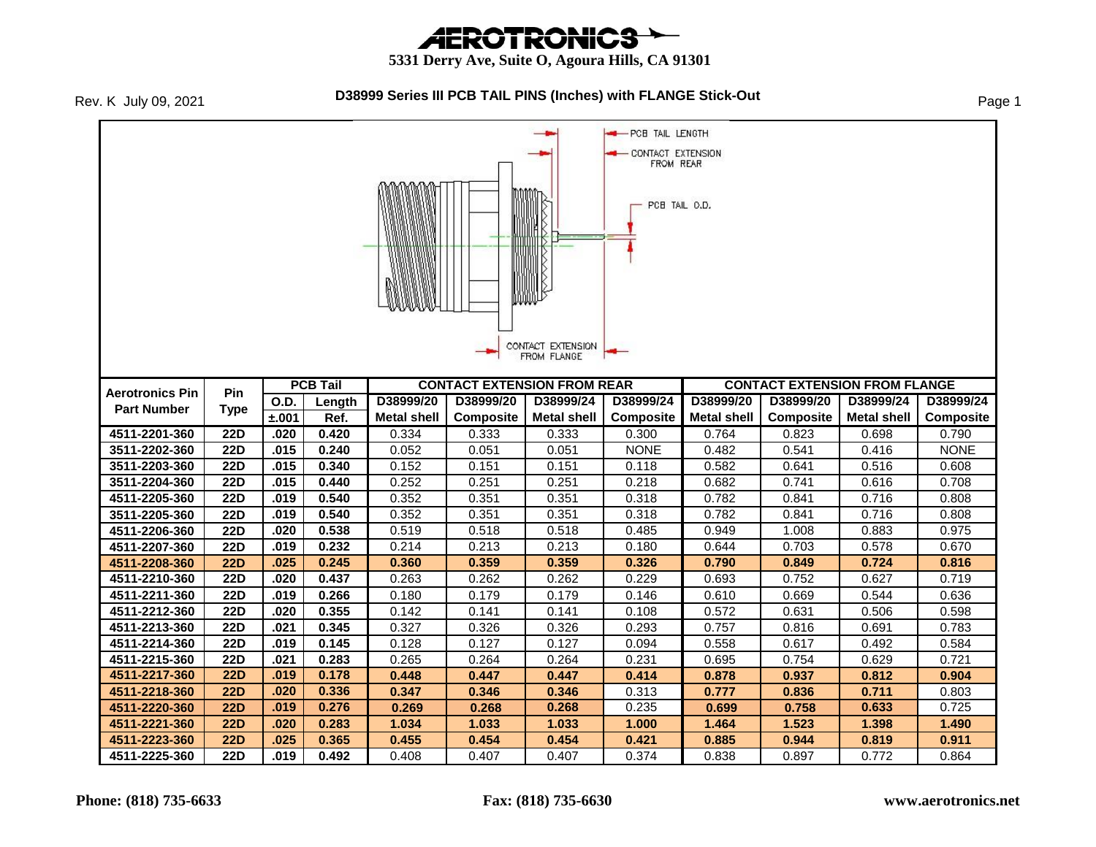# *AEROTRONICS*

#### **5331 Derry Ave, Suite O, Agoura Hills, CA 91301**

Rev. K July 09, 2021

#### **D38999 Series III PCB TAIL PINS (Inches) with FLANGE Stick-Out** Page 1

**-** PCB TAIL LENGTH CONTACT EXTENSION FROM REAR PCB TAIL O.D. CONTACT EXTENSION FROM FLANGE **PCB Tail CONTACT EXTENSION FROM REAR CONTACT EXTENSION FROM FLANGE Aerotronics Pin Pin D38999/24 O.D. Length D38999/20 D38999/20 D38999/24 D38999/24 D38999/20 D38999/20 D38999/24 Part Number Type Composite Metal shell Composite ±.001 Ref. Metal shell Metal shell Composite Metal shell Composite 4511-2201-360 22D .020 0.420** 0.334 0.333 0.333 0.300 0.764 0.823 0.698 0.790 **3511-2202-360 22D .015 0.240** 0.052 0.051 0.051 NONE 0.482 0.541 0.416 NONE **3511-2203-360 22D .015 0.340** 0.152 0.151 0.151 0.118 0.582 0.641 0.516 0.608 **3511-2204-360 22D .015 0.440** 0.252 0.251 0.251 0.218 0.682 0.741 0.616 0.708 **4511-2205-360 22D .019 0.540** 0.352 0.351 0.351 0.318 0.782 0.841 0.716 0.808 **3511-2205-360 22D .019 0.540** 0.352 0.351 0.351 0.318 0.782 0.841 0.716 0.808 **4511-2206-360 22D .020 0.538** 0.519 0.518 0.518 0.485 0.949 1.008 0.883 0.975 **4511-2207-360 22D .019 0.232** 0.214 0.213 0.213 0.180 0.644 0.703 0.578 0.670 **4511-2208-360 22D .025 0.245 0.360 0.359 0.359 0.326 0.790 0.849 0.724 0.816 4511-2210-360 22D .020 0.437** 0.263 0.262 0.262 0.229 0.693 0.752 0.627 0.719 **4511-2211-360 22D .019 0.266** 0.180 0.179 0.179 0.146 0.610 0.669 0.544 0.636 **4511-2212-360 22D .020 0.355** 0.142 0.141 0.141 0.108 0.572 0.631 0.506 0.598 **4511-2213-360 22D .021 0.345** 0.327 0.326 0.326 0.293 0.757 0.816 0.691 0.783 **4511-2214-360 22D .019 0.145** 0.128 0.127 0.127 0.094 0.558 0.617 0.492 0.584 **4511-2215-360 22D .021 0.283** 0.265 0.264 0.264 0.231 0.695 0.754 0.629 0.721 **4511-2217-360 22D .019 0.178 0.448 0.447 0.447 0.414 0.878 0.937 0.812 0.904 4511-2218-360 22D .020 0.336 0.347 0.346 0.346** 0.313 **0.777 0.836 0.711** 0.803 **4511-2220-360 22D .019 0.276 0.269 0.268 0.268** 0.235 **0.699 0.758 0.633** 0.725 **4511-2221-360 22D .020 0.283 1.034 1.033 1.033 1.000 1.464 1.523 1.398 1.490 4511-2223-360 22D .025 0.365 0.455 0.454 0.454 0.421 0.885 0.944 0.819 0.911 4511-2225-360 22D .019 0.492** 0.408 0.407 0.407 0.374 0.838 0.897 0.772 0.864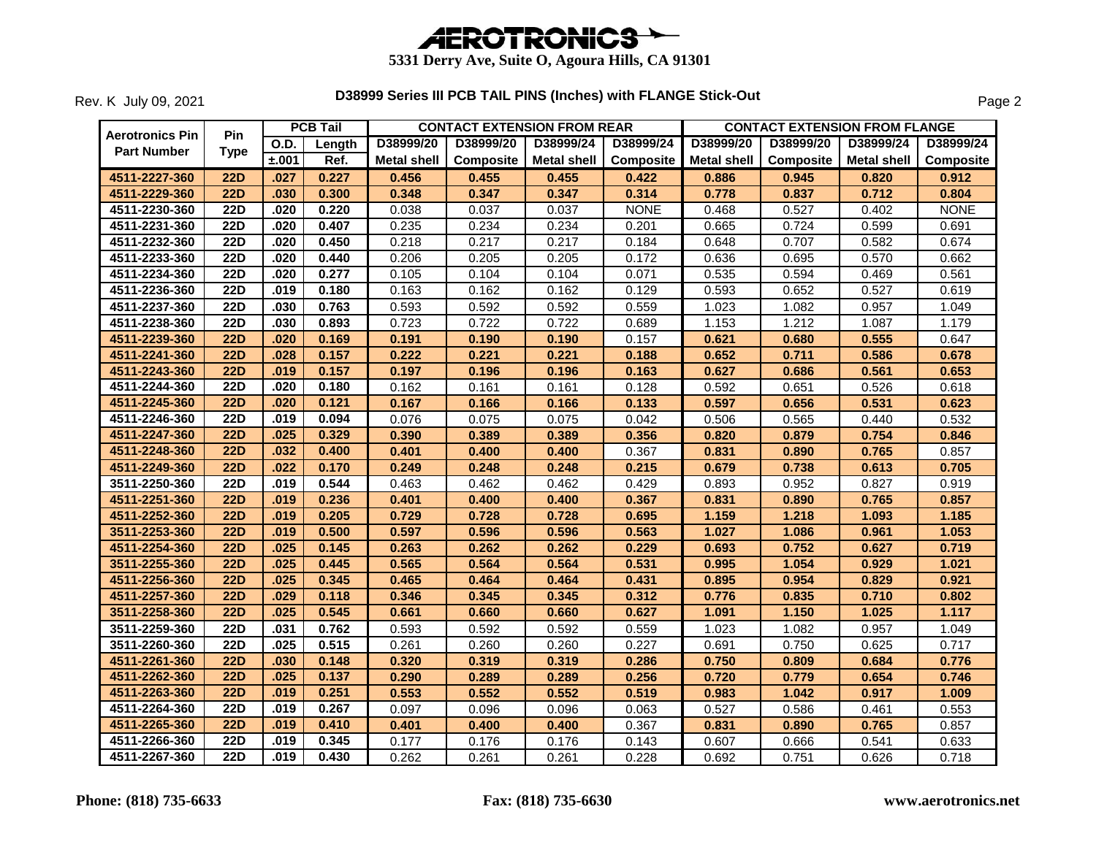

|                        |                  |             | <b>PCB Tail</b> |                    | <b>CONTACT EXTENSION FROM REAR</b> |                    |                  | <b>CONTACT EXTENSION FROM FLANGE</b> |           |             |             |  |
|------------------------|------------------|-------------|-----------------|--------------------|------------------------------------|--------------------|------------------|--------------------------------------|-----------|-------------|-------------|--|
| <b>Aerotronics Pin</b> | <b>Pin</b>       | <b>O.D.</b> | Length          | D38999/20          | D38999/20                          | D38999/24          | D38999/24        | D38999/20                            | D38999/20 | D38999/24   | D38999/24   |  |
| <b>Part Number</b>     | <b>Type</b>      | ±.001       | Ref.            | <b>Metal shell</b> | <b>Composite</b>                   | <b>Metal shell</b> | <b>Composite</b> | <b>Metal shell</b>                   | Composite | Metal shell | Composite   |  |
| 4511-2227-360          | <b>22D</b>       | .027        | 0.227           | 0.456              | 0.455                              | 0.455              | 0.422            | 0.886                                | 0.945     | 0.820       | 0.912       |  |
| 4511-2229-360          | <b>22D</b>       | .030        | 0.300           | 0.348              | 0.347                              | 0.347              | 0.314            | 0.778                                | 0.837     | 0.712       | 0.804       |  |
| 4511-2230-360          | $\overline{22D}$ | .020        | 0.220           | 0.038              | 0.037                              | 0.037              | <b>NONE</b>      | 0.468                                | 0.527     | 0.402       | <b>NONE</b> |  |
| 4511-2231-360          | <b>22D</b>       | .020        | 0.407           | 0.235              | 0.234                              | 0.234              | 0.201            | 0.665                                | 0.724     | 0.599       | 0.691       |  |
| 4511-2232-360          | <b>22D</b>       | .020        | 0.450           | 0.218              | 0.217                              | 0.217              | 0.184            | 0.648                                | 0.707     | 0.582       | 0.674       |  |
| 4511-2233-360          | <b>22D</b>       | .020        | 0.440           | 0.206              | 0.205                              | 0.205              | 0.172            | 0.636                                | 0.695     | 0.570       | 0.662       |  |
| 4511-2234-360          | <b>22D</b>       | .020        | 0.277           | 0.105              | 0.104                              | 0.104              | 0.071            | 0.535                                | 0.594     | 0.469       | 0.561       |  |
| 4511-2236-360          | <b>22D</b>       | .019        | 0.180           | 0.163              | 0.162                              | 0.162              | 0.129            | 0.593                                | 0.652     | 0.527       | 0.619       |  |
| 4511-2237-360          | <b>22D</b>       | .030        | 0.763           | 0.593              | 0.592                              | 0.592              | 0.559            | 1.023                                | 1.082     | 0.957       | 1.049       |  |
| 4511-2238-360          | $\overline{22D}$ | .030        | 0.893           | 0.723              | 0.722                              | 0.722              | 0.689            | 1.153                                | 1.212     | 1.087       | 1.179       |  |
| 4511-2239-360          | <b>22D</b>       | .020        | 0.169           | 0.191              | 0.190                              | 0.190              | 0.157            | 0.621                                | 0.680     | 0.555       | 0.647       |  |
| 4511-2241-360          | <b>22D</b>       | .028        | 0.157           | 0.222              | 0.221                              | 0.221              | 0.188            | 0.652                                | 0.711     | 0.586       | 0.678       |  |
| 4511-2243-360          | <b>22D</b>       | .019        | 0.157           | 0.197              | 0.196                              | 0.196              | 0.163            | 0.627                                | 0.686     | 0.561       | 0.653       |  |
| 4511-2244-360          | 22D              | .020        | 0.180           | 0.162              | 0.161                              | 0.161              | 0.128            | 0.592                                | 0.651     | 0.526       | 0.618       |  |
| 4511-2245-360          | 22D              | .020        | 0.121           | 0.167              | 0.166                              | 0.166              | 0.133            | 0.597                                | 0.656     | 0.531       | 0.623       |  |
| 4511-2246-360          | <b>22D</b>       | .019        | 0.094           | 0.076              | 0.075                              | 0.075              | 0.042            | 0.506                                | 0.565     | 0.440       | 0.532       |  |
| 4511-2247-360          | <b>22D</b>       | .025        | 0.329           | 0.390              | 0.389                              | 0.389              | 0.356            | 0.820                                | 0.879     | 0.754       | 0.846       |  |
| 4511-2248-360          | 22D              | .032        | 0.400           | 0.401              | 0.400                              | 0.400              | 0.367            | 0.831                                | 0.890     | 0.765       | 0.857       |  |
| 4511-2249-360          | 22D              | .022        | 0.170           | 0.249              | 0.248                              | 0.248              | 0.215            | 0.679                                | 0.738     | 0.613       | 0.705       |  |
| 3511-2250-360          | <b>22D</b>       | .019        | 0.544           | 0.463              | 0.462                              | 0.462              | 0.429            | 0.893                                | 0.952     | 0.827       | 0.919       |  |
| 4511-2251-360          | <b>22D</b>       | .019        | 0.236           | 0.401              | 0.400                              | 0.400              | 0.367            | 0.831                                | 0.890     | 0.765       | 0.857       |  |
| 4511-2252-360          | 22D              | .019        | 0.205           | 0.729              | 0.728                              | 0.728              | 0.695            | 1.159                                | 1.218     | 1.093       | 1.185       |  |
| 3511-2253-360          | 22D              | .019        | 0.500           | 0.597              | 0.596                              | 0.596              | 0.563            | 1.027                                | 1.086     | 0.961       | 1.053       |  |
| 4511-2254-360          | <b>22D</b>       | .025        | 0.145           | 0.263              | 0.262                              | 0.262              | 0.229            | 0.693                                | 0.752     | 0.627       | 0.719       |  |
| 3511-2255-360          | <b>22D</b>       | .025        | 0.445           | 0.565              | 0.564                              | 0.564              | 0.531            | 0.995                                | 1.054     | 0.929       | 1.021       |  |
| 4511-2256-360          | <b>22D</b>       | .025        | 0.345           | 0.465              | 0.464                              | 0.464              | 0.431            | 0.895                                | 0.954     | 0.829       | 0.921       |  |
| 4511-2257-360          | <b>22D</b>       | .029        | 0.118           | 0.346              | 0.345                              | 0.345              | 0.312            | 0.776                                | 0.835     | 0.710       | 0.802       |  |
| 3511-2258-360          | <b>22D</b>       | .025        | 0.545           | 0.661              | 0.660                              | 0.660              | 0.627            | 1.091                                | 1.150     | 1.025       | 1.117       |  |
| 3511-2259-360          | <b>22D</b>       | .031        | 0.762           | 0.593              | 0.592                              | 0.592              | 0.559            | 1.023                                | 1.082     | 0.957       | 1.049       |  |
| 3511-2260-360          | <b>22D</b>       | .025        | 0.515           | 0.261              | 0.260                              | 0.260              | 0.227            | 0.691                                | 0.750     | 0.625       | 0.717       |  |
| 4511-2261-360          | <b>22D</b>       | .030        | 0.148           | 0.320              | 0.319                              | 0.319              | 0.286            | 0.750                                | 0.809     | 0.684       | 0.776       |  |
| 4511-2262-360          | 22D              | .025        | 0.137           | 0.290              | 0.289                              | 0.289              | 0.256            | 0.720                                | 0.779     | 0.654       | 0.746       |  |
| 4511-2263-360          | 22D              | .019        | 0.251           | 0.553              | 0.552                              | 0.552              | 0.519            | 0.983                                | 1.042     | 0.917       | 1.009       |  |
| 4511-2264-360          | <b>22D</b>       | .019        | 0.267           | 0.097              | 0.096                              | 0.096              | 0.063            | 0.527                                | 0.586     | 0.461       | 0.553       |  |
| 4511-2265-360          | <b>22D</b>       | .019        | 0.410           | 0.401              | 0.400                              | 0.400              | 0.367            | 0.831                                | 0.890     | 0.765       | 0.857       |  |
| 4511-2266-360          | 22D              | .019        | 0.345           | 0.177              | 0.176                              | 0.176              | 0.143            | 0.607                                | 0.666     | 0.541       | 0.633       |  |
| 4511-2267-360          | 22D              | .019        | 0.430           | 0.262              | 0.261                              | 0.261              | 0.228            | 0.692                                | 0.751     | 0.626       | 0.718       |  |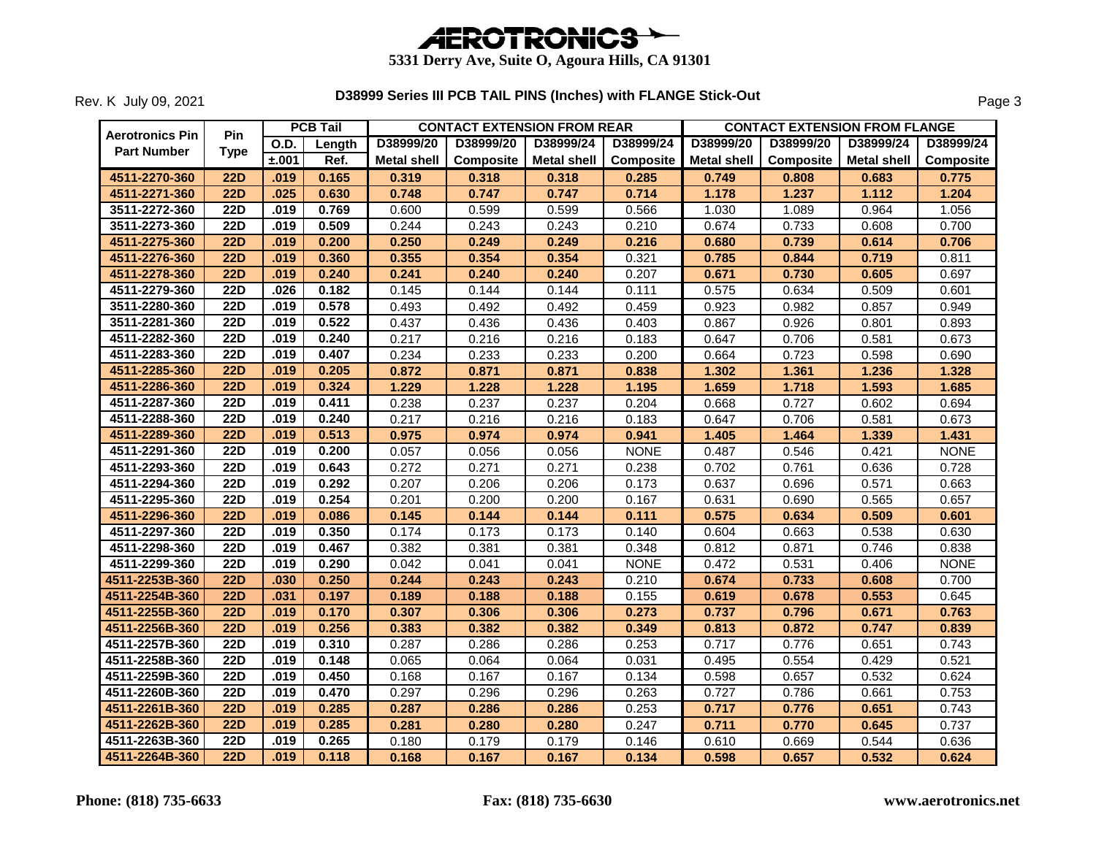

|                        |                  |             | <b>PCB Tail</b> | <b>CONTACT EXTENSION FROM REAR</b> |                  |                    |             | <b>CONTACT EXTENSION FROM FLANGE</b> |           |             |             |  |
|------------------------|------------------|-------------|-----------------|------------------------------------|------------------|--------------------|-------------|--------------------------------------|-----------|-------------|-------------|--|
| <b>Aerotronics Pin</b> | <b>Pin</b>       | <b>O.D.</b> | Length          | D38999/20                          | D38999/20        | D38999/24          | D38999/24   | D38999/20                            | D38999/20 | D38999/24   | D38999/24   |  |
| <b>Part Number</b>     | <b>Type</b>      | ±.001       | Ref.            | <b>Metal shell</b>                 | <b>Composite</b> | <b>Metal shell</b> | Composite   | <b>Metal shell</b>                   | Composite | Metal shell | Composite   |  |
| 4511-2270-360          | <b>22D</b>       | .019        | 0.165           | 0.319                              | 0.318            | 0.318              | 0.285       | 0.749                                | 0.808     | 0.683       | 0.775       |  |
| 4511-2271-360          | <b>22D</b>       | .025        | 0.630           | 0.748                              | 0.747            | 0.747              | 0.714       | 1.178                                | 1.237     | 1.112       | 1.204       |  |
| 3511-2272-360          | $\overline{22D}$ | .019        | 0.769           | 0.600                              | 0.599            | 0.599              | 0.566       | 1.030                                | 1.089     | 0.964       | 1.056       |  |
| 3511-2273-360          | <b>22D</b>       | .019        | 0.509           | 0.244                              | 0.243            | 0.243              | 0.210       | 0.674                                | 0.733     | 0.608       | 0.700       |  |
| 4511-2275-360          | <b>22D</b>       | .019        | 0.200           | 0.250                              | 0.249            | 0.249              | 0.216       | 0.680                                | 0.739     | 0.614       | 0.706       |  |
| 4511-2276-360          | 22D              | .019        | 0.360           | 0.355                              | 0.354            | 0.354              | 0.321       | 0.785                                | 0.844     | 0.719       | 0.811       |  |
| 4511-2278-360          | <b>22D</b>       | .019        | 0.240           | 0.241                              | 0.240            | 0.240              | 0.207       | 0.671                                | 0.730     | 0.605       | 0.697       |  |
| 4511-2279-360          | 22D              | .026        | 0.182           | 0.145                              | 0.144            | 0.144              | 0.111       | 0.575                                | 0.634     | 0.509       | 0.601       |  |
| 3511-2280-360          | <b>22D</b>       | .019        | 0.578           | 0.493                              | 0.492            | 0.492              | 0.459       | 0.923                                | 0.982     | 0.857       | 0.949       |  |
| 3511-2281-360          | $\overline{22D}$ | .019        | 0.522           | 0.437                              | 0.436            | 0.436              | 0.403       | 0.867                                | 0.926     | 0.801       | 0.893       |  |
| 4511-2282-360          | <b>22D</b>       | .019        | 0.240           | 0.217                              | 0.216            | 0.216              | 0.183       | 0.647                                | 0.706     | 0.581       | 0.673       |  |
| 4511-2283-360          | <b>22D</b>       | .019        | 0.407           | 0.234                              | 0.233            | 0.233              | 0.200       | 0.664                                | 0.723     | 0.598       | 0.690       |  |
| 4511-2285-360          | 22D              | .019        | 0.205           | 0.872                              | 0.871            | 0.871              | 0.838       | 1.302                                | 1.361     | 1.236       | 1.328       |  |
| 4511-2286-360          | 22D              | .019        | 0.324           | 1.229                              | 1.228            | 1.228              | 1.195       | 1.659                                | 1.718     | 1.593       | 1.685       |  |
| 4511-2287-360          | <b>22D</b>       | .019        | 0.411           | 0.238                              | 0.237            | 0.237              | 0.204       | 0.668                                | 0.727     | 0.602       | 0.694       |  |
| 4511-2288-360          | <b>22D</b>       | .019        | 0.240           | 0.217                              | 0.216            | 0.216              | 0.183       | 0.647                                | 0.706     | 0.581       | 0.673       |  |
| 4511-2289-360          | <b>22D</b>       | .019        | 0.513           | 0.975                              | 0.974            | 0.974              | 0.941       | 1.405                                | 1.464     | 1.339       | 1.431       |  |
| 4511-2291-360          | <b>22D</b>       | .019        | 0.200           | 0.057                              | 0.056            | 0.056              | <b>NONE</b> | 0.487                                | 0.546     | 0.421       | <b>NONE</b> |  |
| 4511-2293-360          | $\overline{22D}$ | .019        | 0.643           | 0.272                              | 0.271            | 0.271              | 0.238       | 0.702                                | 0.761     | 0.636       | 0.728       |  |
| 4511-2294-360          | <b>22D</b>       | .019        | 0.292           | 0.207                              | 0.206            | 0.206              | 0.173       | 0.637                                | 0.696     | 0.571       | 0.663       |  |
| 4511-2295-360          | <b>22D</b>       | .019        | 0.254           | 0.201                              | 0.200            | 0.200              | 0.167       | 0.631                                | 0.690     | 0.565       | 0.657       |  |
| 4511-2296-360          | <b>22D</b>       | .019        | 0.086           | 0.145                              | 0.144            | 0.144              | 0.111       | 0.575                                | 0.634     | 0.509       | 0.601       |  |
| 4511-2297-360          | <b>22D</b>       | .019        | 0.350           | 0.174                              | 0.173            | 0.173              | 0.140       | 0.604                                | 0.663     | 0.538       | 0.630       |  |
| 4511-2298-360          | <b>22D</b>       | .019        | 0.467           | 0.382                              | 0.381            | 0.381              | 0.348       | 0.812                                | 0.871     | 0.746       | 0.838       |  |
| 4511-2299-360          | <b>22D</b>       | .019        | 0.290           | 0.042                              | 0.041            | 0.041              | <b>NONE</b> | 0.472                                | 0.531     | 0.406       | <b>NONE</b> |  |
| 4511-2253B-360         | 22D              | .030        | 0.250           | 0.244                              | 0.243            | 0.243              | 0.210       | 0.674                                | 0.733     | 0.608       | 0.700       |  |
| 4511-2254B-360         | <b>22D</b>       | .031        | 0.197           | 0.189                              | 0.188            | 0.188              | 0.155       | 0.619                                | 0.678     | 0.553       | 0.645       |  |
| 4511-2255B-360         | <b>22D</b>       | .019        | 0.170           | 0.307                              | 0.306            | 0.306              | 0.273       | 0.737                                | 0.796     | 0.671       | 0.763       |  |
| 4511-2256B-360         | <b>22D</b>       | .019        | 0.256           | 0.383                              | 0.382            | 0.382              | 0.349       | 0.813                                | 0.872     | 0.747       | 0.839       |  |
| 4511-2257B-360         | <b>22D</b>       | .019        | 0.310           | 0.287                              | 0.286            | 0.286              | 0.253       | 0.717                                | 0.776     | 0.651       | 0.743       |  |
| 4511-2258B-360         | <b>22D</b>       | .019        | 0.148           | 0.065                              | 0.064            | 0.064              | 0.031       | 0.495                                | 0.554     | 0.429       | 0.521       |  |
| 4511-2259B-360         | <b>22D</b>       | .019        | 0.450           | 0.168                              | 0.167            | 0.167              | 0.134       | 0.598                                | 0.657     | 0.532       | 0.624       |  |
| 4511-2260B-360         | 22D              | .019        | 0.470           | 0.297                              | 0.296            | 0.296              | 0.263       | 0.727                                | 0.786     | 0.661       | 0.753       |  |
| 4511-2261B-360         | <b>22D</b>       | .019        | 0.285           | 0.287                              | 0.286            | 0.286              | 0.253       | 0.717                                | 0.776     | 0.651       | 0.743       |  |
| 4511-2262B-360         | <b>22D</b>       | .019        | 0.285           | 0.281                              | 0.280            | 0.280              | 0.247       | 0.711                                | 0.770     | 0.645       | 0.737       |  |
| 4511-2263B-360         | 22D              | .019        | 0.265           | 0.180                              | 0.179            | 0.179              | 0.146       | 0.610                                | 0.669     | 0.544       | 0.636       |  |
| 4511-2264B-360         | 22D              | .019        | 0.118           | 0.168                              | 0.167            | 0.167              | 0.134       | 0.598                                | 0.657     | 0.532       | 0.624       |  |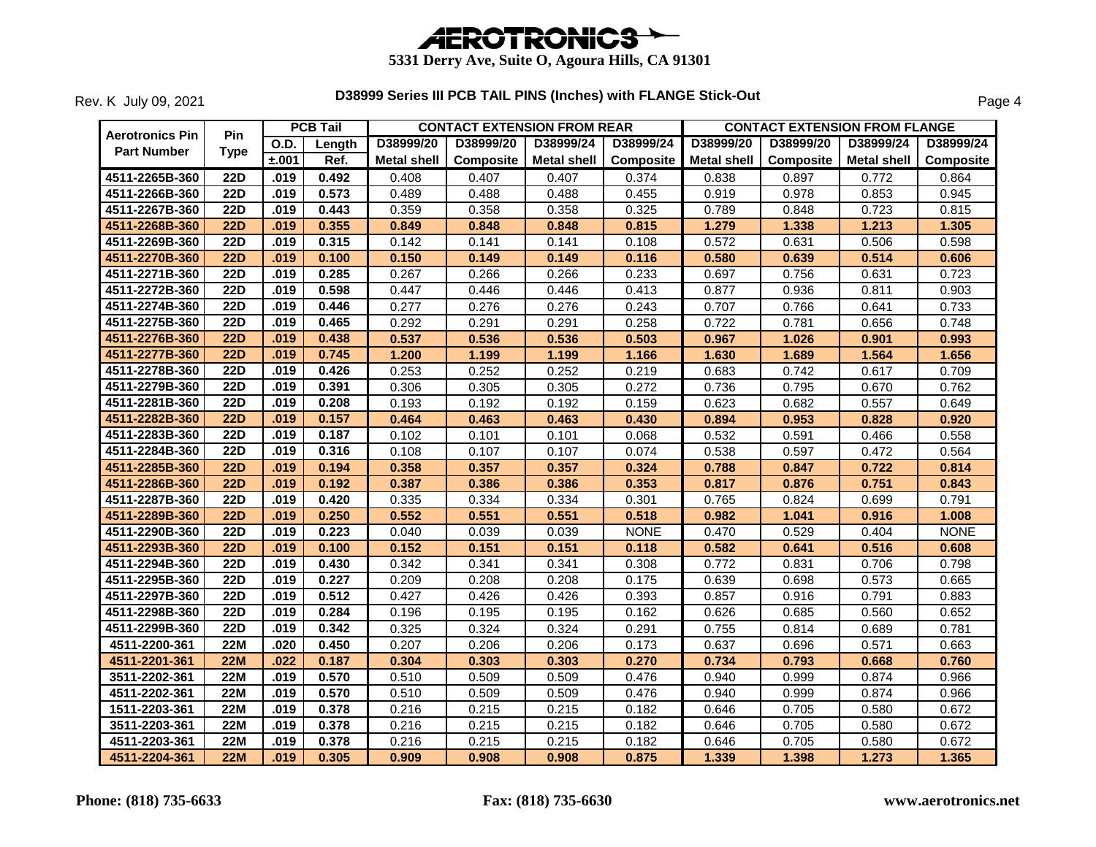

| <b>Aerotronics Pin</b> | <b>Pin</b>       |       | <b>PCB Tail</b> |                    | <b>CONTACT EXTENSION FROM REAR</b> |                    |                  |                    |           | <b>CONTACT EXTENSION FROM FLANGE</b> |             |
|------------------------|------------------|-------|-----------------|--------------------|------------------------------------|--------------------|------------------|--------------------|-----------|--------------------------------------|-------------|
| <b>Part Number</b>     | <b>Type</b>      | O.D.  | Length          | D38999/20          | D38999/20                          | D38999/24          | D38999/24        | D38999/20          | D38999/20 | D38999/24                            | D38999/24   |
|                        |                  | ±.001 | Ref.            | <b>Metal shell</b> | Composite                          | <b>Metal shell</b> | <b>Composite</b> | <b>Metal shell</b> | Composite | <b>Metal shell</b>                   | Composite   |
| 4511-2265B-360         | $\overline{22D}$ | .019  | 0.492           | 0.408              | 0.407                              | 0.407              | 0.374            | 0.838              | 0.897     | 0.772                                | 0.864       |
| 4511-2266B-360         | <b>22D</b>       | .019  | 0.573           | 0.489              | 0.488                              | 0.488              | 0.455            | 0.919              | 0.978     | 0.853                                | 0.945       |
| 4511-2267B-360         | <b>22D</b>       | .019  | 0.443           | 0.359              | 0.358                              | 0.358              | 0.325            | 0.789              | 0.848     | 0.723                                | 0.815       |
| 4511-2268B-360         | <b>22D</b>       | .019  | 0.355           | 0.849              | 0.848                              | 0.848              | 0.815            | 1.279              | 1.338     | 1.213                                | 1.305       |
| 4511-2269B-360         | $\overline{22D}$ | .019  | 0.315           | 0.142              | 0.141                              | 0.141              | 0.108            | 0.572              | 0.631     | 0.506                                | 0.598       |
| 4511-2270B-360         | <b>22D</b>       | .019  | 0.100           | 0.150              | 0.149                              | 0.149              | 0.116            | 0.580              | 0.639     | 0.514                                | 0.606       |
| 4511-2271B-360         | <b>22D</b>       | .019  | 0.285           | 0.267              | 0.266                              | 0.266              | 0.233            | 0.697              | 0.756     | 0.631                                | 0.723       |
| 4511-2272B-360         | $\overline{22D}$ | .019  | 0.598           | 0.447              | 0.446                              | 0.446              | 0.413            | 0.877              | 0.936     | 0.811                                | 0.903       |
| 4511-2274B-360         | <b>22D</b>       | .019  | 0.446           | 0.277              | 0.276                              | 0.276              | 0.243            | 0.707              | 0.766     | 0.641                                | 0.733       |
| 4511-2275B-360         | <b>22D</b>       | .019  | 0.465           | 0.292              | 0.291                              | 0.291              | 0.258            | 0.722              | 0.781     | 0.656                                | 0.748       |
| 4511-2276B-360         | 22D              | .019  | 0.438           | 0.537              | 0.536                              | 0.536              | 0.503            | 0.967              | 1.026     | 0.901                                | 0.993       |
| 4511-2277B-360         | <b>22D</b>       | .019  | 0.745           | 1.200              | 1.199                              | 1.199              | 1.166            | 1.630              | 1.689     | 1.564                                | 1.656       |
| 4511-2278B-360         | <b>22D</b>       | .019  | 0.426           | 0.253              | 0.252                              | 0.252              | 0.219            | 0.683              | 0.742     | 0.617                                | 0.709       |
| 4511-2279B-360         | <b>22D</b>       | .019  | 0.391           | 0.306              | 0.305                              | 0.305              | 0.272            | 0.736              | 0.795     | 0.670                                | 0.762       |
| 4511-2281B-360         | 22D              | .019  | 0.208           | 0.193              | 0.192                              | 0.192              | 0.159            | 0.623              | 0.682     | 0.557                                | 0.649       |
| 4511-2282B-360         | <b>22D</b>       | .019  | 0.157           | 0.464              | 0.463                              | 0.463              | 0.430            | 0.894              | 0.953     | 0.828                                | 0.920       |
| 4511-2283B-360         | 22D              | .019  | 0.187           | 0.102              | 0.101                              | 0.101              | 0.068            | 0.532              | 0.591     | 0.466                                | 0.558       |
| 4511-2284B-360         | <b>22D</b>       | .019  | 0.316           | 0.108              | 0.107                              | 0.107              | 0.074            | 0.538              | 0.597     | 0.472                                | 0.564       |
| 4511-2285B-360         | 22D              | .019  | 0.194           | 0.358              | 0.357                              | 0.357              | 0.324            | 0.788              | 0.847     | 0.722                                | 0.814       |
| 4511-2286B-360         | 22D              | .019  | 0.192           | 0.387              | 0.386                              | 0.386              | 0.353            | 0.817              | 0.876     | 0.751                                | 0.843       |
| 4511-2287B-360         | <b>22D</b>       | .019  | 0.420           | 0.335              | 0.334                              | 0.334              | 0.301            | 0.765              | 0.824     | 0.699                                | 0.791       |
| 4511-2289B-360         | 22D              | .019  | 0.250           | 0.552              | 0.551                              | 0.551              | 0.518            | 0.982              | 1.041     | 0.916                                | 1.008       |
| 4511-2290B-360         | <b>22D</b>       | .019  | 0.223           | 0.040              | 0.039                              | 0.039              | <b>NONE</b>      | 0.470              | 0.529     | 0.404                                | <b>NONE</b> |
| 4511-2293B-360         | <b>22D</b>       | .019  | 0.100           | 0.152              | 0.151                              | 0.151              | 0.118            | 0.582              | 0.641     | 0.516                                | 0.608       |
| 4511-2294B-360         | $\overline{22D}$ | .019  | 0.430           | 0.342              | 0.341                              | 0.341              | 0.308            | 0.772              | 0.831     | 0.706                                | 0.798       |
| 4511-2295B-360         | <b>22D</b>       | .019  | 0.227           | 0.209              | 0.208                              | 0.208              | 0.175            | 0.639              | 0.698     | 0.573                                | 0.665       |
| 4511-2297B-360         | <b>22D</b>       | .019  | 0.512           | 0.427              | 0.426                              | 0.426              | 0.393            | 0.857              | 0.916     | 0.791                                | 0.883       |
| 4511-2298B-360         | $\overline{22D}$ | .019  | 0.284           | 0.196              | 0.195                              | 0.195              | 0.162            | 0.626              | 0.685     | 0.560                                | 0.652       |
| 4511-2299B-360         | $\overline{22D}$ | .019  | 0.342           | 0.325              | 0.324                              | 0.324              | 0.291            | 0.755              | 0.814     | 0.689                                | 0.781       |
| 4511-2200-361          | <b>22M</b>       | .020  | 0.450           | 0.207              | 0.206                              | 0.206              | 0.173            | 0.637              | 0.696     | 0.571                                | 0.663       |
| 4511-2201-361          | <b>22M</b>       | .022  | 0.187           | 0.304              | 0.303                              | 0.303              | 0.270            | 0.734              | 0.793     | 0.668                                | 0.760       |
| 3511-2202-361          | <b>22M</b>       | .019  | 0.570           | 0.510              | 0.509                              | 0.509              | 0.476            | 0.940              | 0.999     | 0.874                                | 0.966       |
| 4511-2202-361          | <b>22M</b>       | .019  | 0.570           | 0.510              | 0.509                              | 0.509              | 0.476            | 0.940              | 0.999     | 0.874                                | 0.966       |
| 1511-2203-361          | <b>22M</b>       | .019  | 0.378           | 0.216              | 0.215                              | 0.215              | 0.182            | 0.646              | 0.705     | 0.580                                | 0.672       |
| 3511-2203-361          | <b>22M</b>       | .019  | 0.378           | 0.216              | 0.215                              | 0.215              | 0.182            | 0.646              | 0.705     | 0.580                                | 0.672       |
| 4511-2203-361          | <b>22M</b>       | .019  | 0.378           | 0.216              | 0.215                              | 0.215              | 0.182            | 0.646              | 0.705     | 0.580                                | 0.672       |
| 4511-2204-361          | <b>22M</b>       | .019  | 0.305           | 0.909              | 0.908                              | 0.908              | 0.875            | 1.339              | 1.398     | 1.273                                | 1.365       |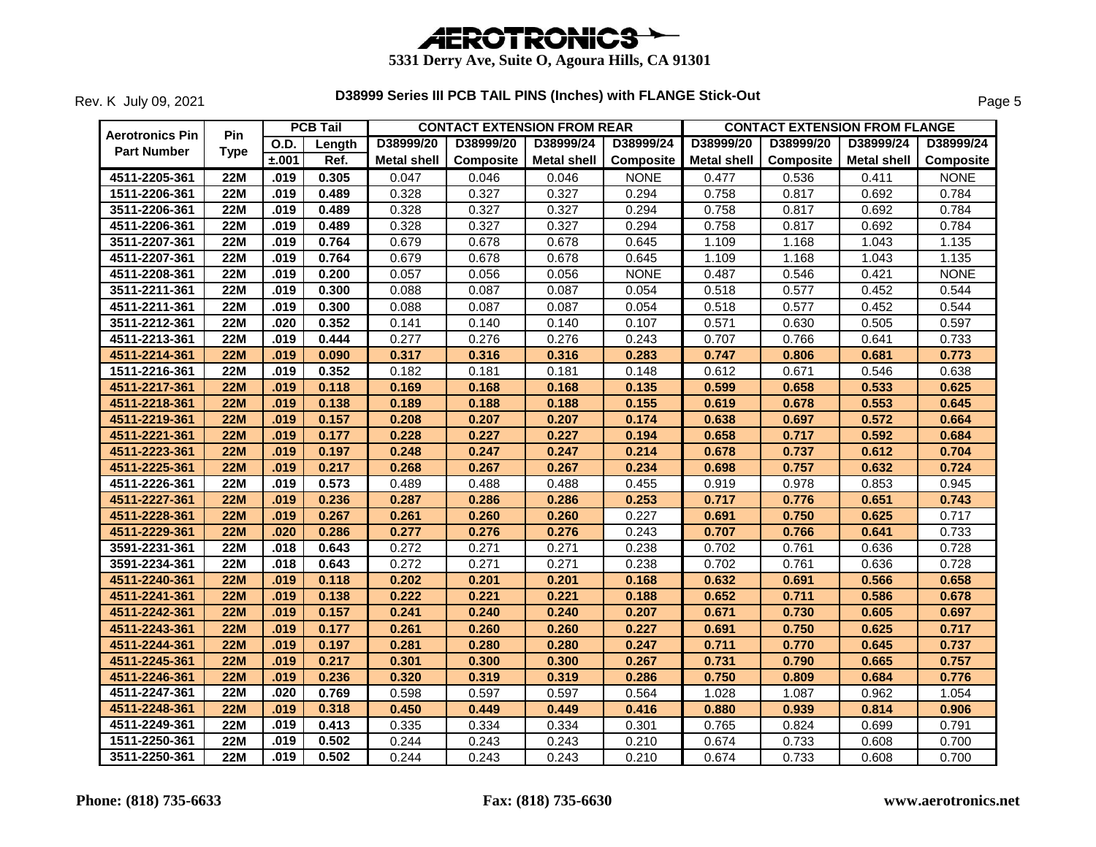

| <b>Aerotronics Pin</b> | Pin         |             | <b>PCB Tail</b> | <b>CONTACT EXTENSION FROM REAR</b> |           |                    |             | <b>CONTACT EXTENSION FROM FLANGE</b> |           |                    |                  |  |
|------------------------|-------------|-------------|-----------------|------------------------------------|-----------|--------------------|-------------|--------------------------------------|-----------|--------------------|------------------|--|
| <b>Part Number</b>     | <b>Type</b> | <b>O.D.</b> | Length          | D38999/20                          | D38999/20 | D38999/24          | D38999/24   | D38999/20                            | D38999/20 | D38999/24          | D38999/24        |  |
|                        |             | ±.001       | Ref.            | <b>Metal shell</b>                 | Composite | <b>Metal shell</b> | Composite   | <b>Metal shell</b>                   | Composite | <b>Metal shell</b> | <b>Composite</b> |  |
| 4511-2205-361          | <b>22M</b>  | .019        | 0.305           | 0.047                              | 0.046     | 0.046              | <b>NONE</b> | 0.477                                | 0.536     | 0.411              | <b>NONE</b>      |  |
| 1511-2206-361          | <b>22M</b>  | .019        | 0.489           | 0.328                              | 0.327     | 0.327              | 0.294       | 0.758                                | 0.817     | 0.692              | 0.784            |  |
| 3511-2206-361          | <b>22M</b>  | .019        | 0.489           | 0.328                              | 0.327     | 0.327              | 0.294       | 0.758                                | 0.817     | 0.692              | 0.784            |  |
| 4511-2206-361          | <b>22M</b>  | .019        | 0.489           | 0.328                              | 0.327     | 0.327              | 0.294       | 0.758                                | 0.817     | 0.692              | 0.784            |  |
| 3511-2207-361          | <b>22M</b>  | .019        | 0.764           | 0.679                              | 0.678     | 0.678              | 0.645       | 1.109                                | 1.168     | 1.043              | 1.135            |  |
| 4511-2207-361          | 22M         | .019        | 0.764           | 0.679                              | 0.678     | 0.678              | 0.645       | 1.109                                | 1.168     | 1.043              | 1.135            |  |
| 4511-2208-361          | <b>22M</b>  | .019        | 0.200           | 0.057                              | 0.056     | 0.056              | <b>NONE</b> | 0.487                                | 0.546     | 0.421              | <b>NONE</b>      |  |
| 3511-2211-361          | <b>22M</b>  | .019        | 0.300           | 0.088                              | 0.087     | 0.087              | 0.054       | 0.518                                | 0.577     | 0.452              | 0.544            |  |
| 4511-2211-361          | <b>22M</b>  | .019        | 0.300           | 0.088                              | 0.087     | 0.087              | 0.054       | 0.518                                | 0.577     | 0.452              | 0.544            |  |
| 3511-2212-361          | <b>22M</b>  | .020        | 0.352           | 0.141                              | 0.140     | 0.140              | 0.107       | 0.571                                | 0.630     | 0.505              | 0.597            |  |
| 4511-2213-361          | <b>22M</b>  | .019        | 0.444           | 0.277                              | 0.276     | 0.276              | 0.243       | 0.707                                | 0.766     | 0.641              | 0.733            |  |
| 4511-2214-361          | <b>22M</b>  | .019        | 0.090           | 0.317                              | 0.316     | 0.316              | 0.283       | 0.747                                | 0.806     | 0.681              | 0.773            |  |
| 1511-2216-361          | 22M         | .019        | 0.352           | 0.182                              | 0.181     | 0.181              | 0.148       | 0.612                                | 0.671     | 0.546              | 0.638            |  |
| 4511-2217-361          | <b>22M</b>  | .019        | 0.118           | 0.169                              | 0.168     | 0.168              | 0.135       | 0.599                                | 0.658     | 0.533              | 0.625            |  |
| 4511-2218-361          | 22M         | .019        | 0.138           | 0.189                              | 0.188     | 0.188              | 0.155       | 0.619                                | 0.678     | 0.553              | 0.645            |  |
| 4511-2219-361          | <b>22M</b>  | .019        | 0.157           | 0.208                              | 0.207     | 0.207              | 0.174       | 0.638                                | 0.697     | 0.572              | 0.664            |  |
| 4511-2221-361          | <b>22M</b>  | .019        | 0.177           | 0.228                              | 0.227     | 0.227              | 0.194       | 0.658                                | 0.717     | 0.592              | 0.684            |  |
| 4511-2223-361          | <b>22M</b>  | .019        | 0.197           | 0.248                              | 0.247     | 0.247              | 0.214       | 0.678                                | 0.737     | 0.612              | 0.704            |  |
| 4511-2225-361          | <b>22M</b>  | .019        | 0.217           | 0.268                              | 0.267     | 0.267              | 0.234       | 0.698                                | 0.757     | 0.632              | 0.724            |  |
| 4511-2226-361          | <b>22M</b>  | .019        | 0.573           | 0.489                              | 0.488     | 0.488              | 0.455       | 0.919                                | 0.978     | 0.853              | 0.945            |  |
| 4511-2227-361          | 22M         | .019        | 0.236           | 0.287                              | 0.286     | 0.286              | 0.253       | 0.717                                | 0.776     | 0.651              | 0.743            |  |
| 4511-2228-361          | <b>22M</b>  | .019        | 0.267           | 0.261                              | 0.260     | 0.260              | 0.227       | 0.691                                | 0.750     | 0.625              | 0.717            |  |
| 4511-2229-361          | <b>22M</b>  | .020        | 0.286           | 0.277                              | 0.276     | 0.276              | 0.243       | 0.707                                | 0.766     | 0.641              | 0.733            |  |
| 3591-2231-361          | <b>22M</b>  | .018        | 0.643           | 0.272                              | 0.271     | 0.271              | 0.238       | 0.702                                | 0.761     | 0.636              | 0.728            |  |
| 3591-2234-361          | <b>22M</b>  | .018        | 0.643           | 0.272                              | 0.271     | 0.271              | 0.238       | 0.702                                | 0.761     | 0.636              | 0.728            |  |
| 4511-2240-361          | 22M         | .019        | 0.118           | 0.202                              | 0.201     | 0.201              | 0.168       | 0.632                                | 0.691     | 0.566              | 0.658            |  |
| 4511-2241-361          | <b>22M</b>  | .019        | 0.138           | 0.222                              | 0.221     | 0.221              | 0.188       | 0.652                                | 0.711     | 0.586              | 0.678            |  |
| 4511-2242-361          | <b>22M</b>  | .019        | 0.157           | 0.241                              | 0.240     | 0.240              | 0.207       | 0.671                                | 0.730     | 0.605              | 0.697            |  |
| 4511-2243-361          | <b>22M</b>  | .019        | 0.177           | 0.261                              | 0.260     | 0.260              | 0.227       | 0.691                                | 0.750     | 0.625              | 0.717            |  |
| 4511-2244-361          | <b>22M</b>  | .019        | 0.197           | 0.281                              | 0.280     | 0.280              | 0.247       | 0.711                                | 0.770     | 0.645              | 0.737            |  |
| 4511-2245-361          | <b>22M</b>  | .019        | 0.217           | 0.301                              | 0.300     | 0.300              | 0.267       | 0.731                                | 0.790     | 0.665              | 0.757            |  |
| 4511-2246-361          | <b>22M</b>  | .019        | 0.236           | 0.320                              | 0.319     | 0.319              | 0.286       | 0.750                                | 0.809     | 0.684              | 0.776            |  |
| 4511-2247-361          | 22M         | .020        | 0.769           | 0.598                              | 0.597     | 0.597              | 0.564       | 1.028                                | 1.087     | 0.962              | 1.054            |  |
| 4511-2248-361          | <b>22M</b>  | .019        | 0.318           | 0.450                              | 0.449     | 0.449              | 0.416       | 0.880                                | 0.939     | 0.814              | 0.906            |  |
| 4511-2249-361          | <b>22M</b>  | .019        | 0.413           | 0.335                              | 0.334     | 0.334              | 0.301       | 0.765                                | 0.824     | 0.699              | 0.791            |  |
| 1511-2250-361          | <b>22M</b>  | .019        | 0.502           | 0.244                              | 0.243     | 0.243              | 0.210       | 0.674                                | 0.733     | 0.608              | 0.700            |  |
| 3511-2250-361          | 22M         | .019        | 0.502           | 0.244                              | 0.243     | 0.243              | 0.210       | 0.674                                | 0.733     | 0.608              | 0.700            |  |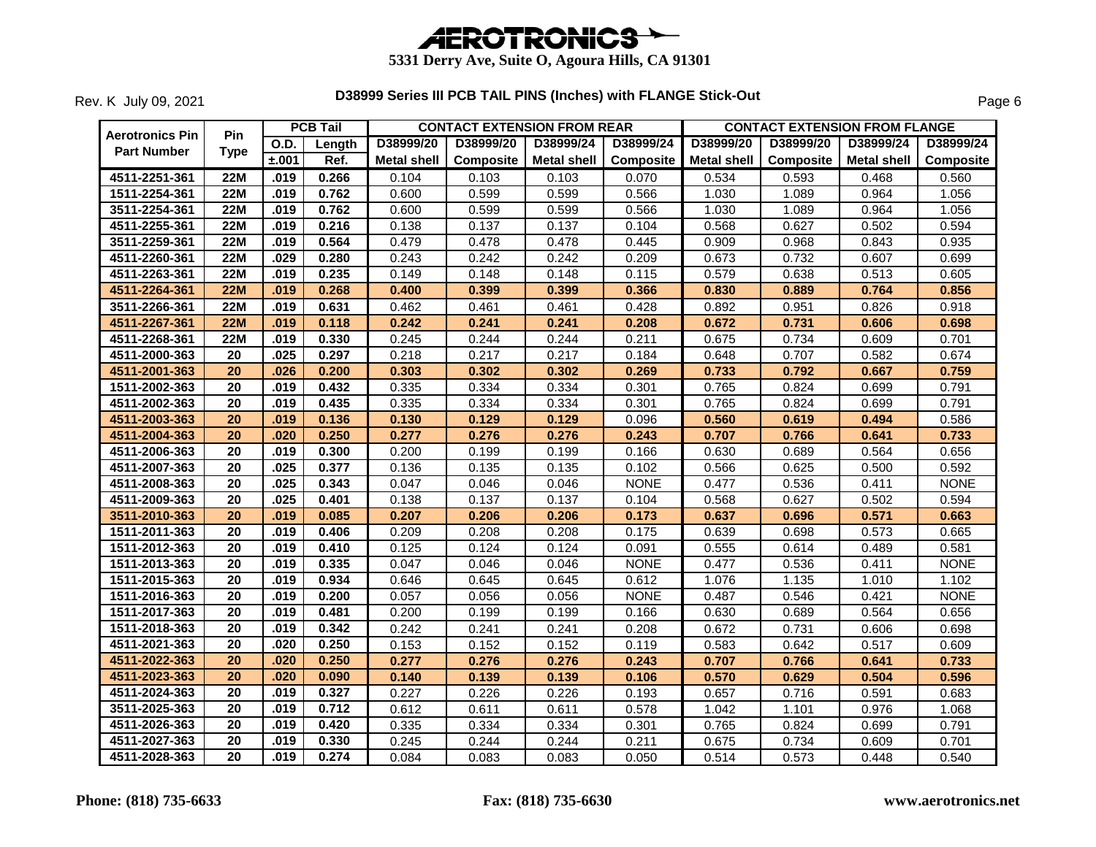

| <b>Aerotronics Pin</b> | <b>Pin</b>      |       | <b>PCB Tail</b> |                    | <b>CONTACT EXTENSION FROM REAR</b> |                    |                  | <b>CONTACT EXTENSION FROM FLANGE</b> |                  |             |             |  |
|------------------------|-----------------|-------|-----------------|--------------------|------------------------------------|--------------------|------------------|--------------------------------------|------------------|-------------|-------------|--|
| <b>Part Number</b>     | <b>Type</b>     | O.D.  | Length          | D38999/20          | D38999/20                          | D38999/24          | D38999/24        | D38999/20                            | D38999/20        | D38999/24   | D38999/24   |  |
|                        |                 | ±.001 | Ref.            | <b>Metal shell</b> | Composite                          | <b>Metal shell</b> | <b>Composite</b> | <b>Metal shell</b>                   | <b>Composite</b> | Metal shell | Composite   |  |
| 4511-2251-361          | 22M             | .019  | 0.266           | 0.104              | 0.103                              | 0.103              | 0.070            | 0.534                                | 0.593            | 0.468       | 0.560       |  |
| 1511-2254-361          | <b>22M</b>      | .019  | 0.762           | 0.600              | 0.599                              | 0.599              | 0.566            | 1.030                                | 1.089            | 0.964       | 1.056       |  |
| 3511-2254-361          | <b>22M</b>      | .019  | 0.762           | 0.600              | 0.599                              | 0.599              | 0.566            | 1.030                                | 1.089            | 0.964       | 1.056       |  |
| 4511-2255-361          | <b>22M</b>      | .019  | 0.216           | 0.138              | 0.137                              | 0.137              | 0.104            | 0.568                                | 0.627            | 0.502       | 0.594       |  |
| 3511-2259-361          | <b>22M</b>      | .019  | 0.564           | 0.479              | 0.478                              | 0.478              | 0.445            | 0.909                                | 0.968            | 0.843       | 0.935       |  |
| 4511-2260-361          | <b>22M</b>      | .029  | 0.280           | 0.243              | 0.242                              | 0.242              | 0.209            | 0.673                                | 0.732            | 0.607       | 0.699       |  |
| 4511-2263-361          | <b>22M</b>      | .019  | 0.235           | 0.149              | 0.148                              | 0.148              | 0.115            | 0.579                                | 0.638            | 0.513       | 0.605       |  |
| 4511-2264-361          | <b>22M</b>      | .019  | 0.268           | 0.400              | 0.399                              | 0.399              | 0.366            | 0.830                                | 0.889            | 0.764       | 0.856       |  |
| 3511-2266-361          | 22M             | .019  | 0.631           | 0.462              | 0.461                              | 0.461              | 0.428            | 0.892                                | 0.951            | 0.826       | 0.918       |  |
| 4511-2267-361          | <b>22M</b>      | .019  | 0.118           | 0.242              | 0.241                              | 0.241              | 0.208            | 0.672                                | 0.731            | 0.606       | 0.698       |  |
| 4511-2268-361          | <b>22M</b>      | .019  | 0.330           | 0.245              | 0.244                              | 0.244              | 0.211            | 0.675                                | 0.734            | 0.609       | 0.701       |  |
| 4511-2000-363          | 20              | .025  | 0.297           | 0.218              | 0.217                              | 0.217              | 0.184            | 0.648                                | 0.707            | 0.582       | 0.674       |  |
| 4511-2001-363          | 20              | .026  | 0.200           | 0.303              | 0.302                              | 0.302              | 0.269            | 0.733                                | 0.792            | 0.667       | 0.759       |  |
| 1511-2002-363          | 20              | .019  | 0.432           | 0.335              | 0.334                              | 0.334              | 0.301            | 0.765                                | 0.824            | 0.699       | 0.791       |  |
| 4511-2002-363          | 20              | .019  | 0.435           | 0.335              | 0.334                              | 0.334              | 0.301            | 0.765                                | 0.824            | 0.699       | 0.791       |  |
| 4511-2003-363          | 20              | .019  | 0.136           | 0.130              | 0.129                              | 0.129              | 0.096            | 0.560                                | 0.619            | 0.494       | 0.586       |  |
| 4511-2004-363          | $\overline{20}$ | .020  | 0.250           | 0.277              | 0.276                              | 0.276              | 0.243            | 0.707                                | 0.766            | 0.641       | 0.733       |  |
| 4511-2006-363          | 20              | .019  | 0.300           | 0.200              | 0.199                              | 0.199              | 0.166            | 0.630                                | 0.689            | 0.564       | 0.656       |  |
| 4511-2007-363          | 20              | .025  | 0.377           | 0.136              | 0.135                              | 0.135              | 0.102            | 0.566                                | 0.625            | 0.500       | 0.592       |  |
| 4511-2008-363          | $\overline{20}$ | .025  | 0.343           | 0.047              | 0.046                              | 0.046              | <b>NONE</b>      | 0.477                                | 0.536            | 0.411       | <b>NONE</b> |  |
| 4511-2009-363          | 20              | .025  | 0.401           | 0.138              | 0.137                              | 0.137              | 0.104            | 0.568                                | 0.627            | 0.502       | 0.594       |  |
| 3511-2010-363          | $\overline{20}$ | .019  | 0.085           | 0.207              | 0.206                              | 0.206              | 0.173            | 0.637                                | 0.696            | 0.571       | 0.663       |  |
| 1511-2011-363          | 20              | .019  | 0.406           | 0.209              | 0.208                              | 0.208              | 0.175            | 0.639                                | 0.698            | 0.573       | 0.665       |  |
| 1511-2012-363          | 20              | .019  | 0.410           | 0.125              | 0.124                              | 0.124              | 0.091            | 0.555                                | 0.614            | 0.489       | 0.581       |  |
| 1511-2013-363          | $\overline{20}$ | .019  | 0.335           | 0.047              | 0.046                              | 0.046              | <b>NONE</b>      | 0.477                                | 0.536            | 0.411       | <b>NONE</b> |  |
| 1511-2015-363          | 20              | .019  | 0.934           | 0.646              | 0.645                              | 0.645              | 0.612            | 1.076                                | 1.135            | 1.010       | 1.102       |  |
| 1511-2016-363          | 20              | .019  | 0.200           | 0.057              | 0.056                              | 0.056              | <b>NONE</b>      | 0.487                                | 0.546            | 0.421       | <b>NONE</b> |  |
| 1511-2017-363          | $\overline{20}$ | .019  | 0.481           | 0.200              | 0.199                              | 0.199              | 0.166            | 0.630                                | 0.689            | 0.564       | 0.656       |  |
| 1511-2018-363          | $\overline{20}$ | .019  | 0.342           | 0.242              | 0.241                              | 0.241              | 0.208            | 0.672                                | 0.731            | 0.606       | 0.698       |  |
| 4511-2021-363          | 20              | .020  | 0.250           | 0.153              | 0.152                              | 0.152              | 0.119            | 0.583                                | 0.642            | 0.517       | 0.609       |  |
| 4511-2022-363          | 20              | .020  | 0.250           | 0.277              | 0.276                              | 0.276              | 0.243            | 0.707                                | 0.766            | 0.641       | 0.733       |  |
| 4511-2023-363          | $\overline{20}$ | .020  | 0.090           | 0.140              | 0.139                              | 0.139              | 0.106            | 0.570                                | 0.629            | 0.504       | 0.596       |  |
| 4511-2024-363          | 20              | .019  | 0.327           | 0.227              | 0.226                              | 0.226              | 0.193            | 0.657                                | 0.716            | 0.591       | 0.683       |  |
| 3511-2025-363          | 20              | .019  | 0.712           | 0.612              | 0.611                              | 0.611              | 0.578            | 1.042                                | 1.101            | 0.976       | 1.068       |  |
| 4511-2026-363          | $\overline{20}$ | .019  | 0.420           | 0.335              | 0.334                              | 0.334              | 0.301            | 0.765                                | 0.824            | 0.699       | 0.791       |  |
| 4511-2027-363          | 20              | .019  | 0.330           | 0.245              | 0.244                              | 0.244              | 0.211            | 0.675                                | 0.734            | 0.609       | 0.701       |  |
| 4511-2028-363          | 20              | .019  | 0.274           | 0.084              | 0.083                              | 0.083              | 0.050            | 0.514                                | 0.573            | 0.448       | 0.540       |  |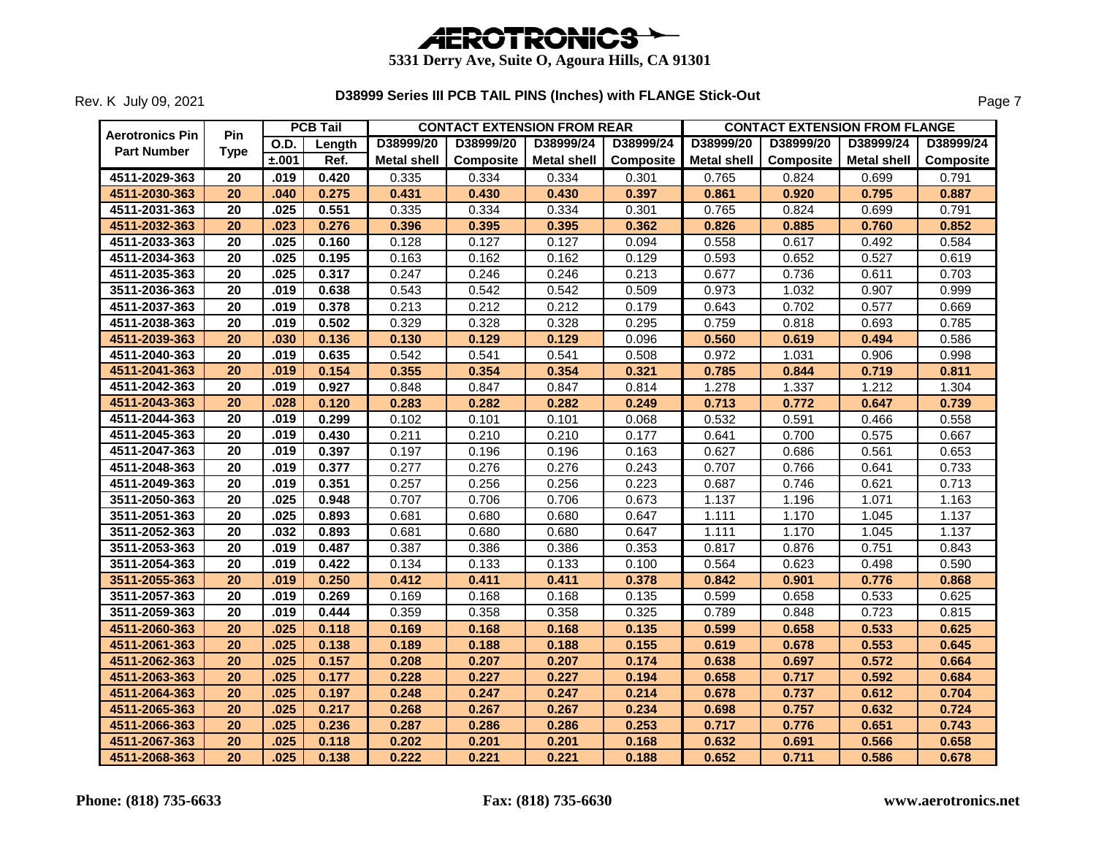

| <b>Aerotronics Pin</b> | <b>Pin</b>      |             | <b>PCB Tail</b> |                    | <b>CONTACT EXTENSION FROM REAR</b> |                    |                  |                    |           | <b>CONTACT EXTENSION FROM FLANGE</b> |                  |  |
|------------------------|-----------------|-------------|-----------------|--------------------|------------------------------------|--------------------|------------------|--------------------|-----------|--------------------------------------|------------------|--|
| <b>Part Number</b>     | <b>Type</b>     | <b>O.D.</b> | Length          | D38999/20          | D38999/20                          | D38999/24          | D38999/24        | D38999/20          | D38999/20 | D38999/24                            | D38999/24        |  |
|                        |                 | ±.001       | Ref.            | <b>Metal shell</b> | <b>Composite</b>                   | <b>Metal shell</b> | <b>Composite</b> | <b>Metal shell</b> | Composite | Metal shell                          | <b>Composite</b> |  |
| 4511-2029-363          | 20              | .019        | 0.420           | 0.335              | 0.334                              | 0.334              | 0.301            | 0.765              | 0.824     | 0.699                                | 0.791            |  |
| 4511-2030-363          | 20              | .040        | 0.275           | 0.431              | 0.430                              | 0.430              | 0.397            | 0.861              | 0.920     | 0.795                                | 0.887            |  |
| 4511-2031-363          | $\overline{20}$ | .025        | 0.551           | 0.335              | 0.334                              | 0.334              | 0.301            | 0.765              | 0.824     | 0.699                                | 0.791            |  |
| 4511-2032-363          | 20              | .023        | 0.276           | 0.396              | 0.395                              | 0.395              | 0.362            | 0.826              | 0.885     | 0.760                                | 0.852            |  |
| 4511-2033-363          | 20              | .025        | 0.160           | 0.128              | 0.127                              | 0.127              | 0.094            | 0.558              | 0.617     | 0.492                                | 0.584            |  |
| 4511-2034-363          | 20              | .025        | 0.195           | 0.163              | 0.162                              | 0.162              | 0.129            | 0.593              | 0.652     | 0.527                                | 0.619            |  |
| 4511-2035-363          | 20              | .025        | 0.317           | 0.247              | 0.246                              | 0.246              | 0.213            | 0.677              | 0.736     | 0.611                                | 0.703            |  |
| 3511-2036-363          | 20              | .019        | 0.638           | 0.543              | 0.542                              | 0.542              | 0.509            | 0.973              | 1.032     | 0.907                                | 0.999            |  |
| 4511-2037-363          | 20              | .019        | 0.378           | 0.213              | 0.212                              | 0.212              | 0.179            | 0.643              | 0.702     | 0.577                                | 0.669            |  |
| 4511-2038-363          | 20              | .019        | 0.502           | 0.329              | 0.328                              | 0.328              | 0.295            | 0.759              | 0.818     | 0.693                                | 0.785            |  |
| 4511-2039-363          | 20              | .030        | 0.136           | 0.130              | 0.129                              | 0.129              | 0.096            | 0.560              | 0.619     | 0.494                                | 0.586            |  |
| 4511-2040-363          | 20              | .019        | 0.635           | 0.542              | 0.541                              | 0.541              | 0.508            | 0.972              | 1.031     | 0.906                                | 0.998            |  |
| 4511-2041-363          | 20              | .019        | 0.154           | 0.355              | 0.354                              | 0.354              | 0.321            | 0.785              | 0.844     | 0.719                                | 0.811            |  |
| 4511-2042-363          | $\overline{20}$ | .019        | 0.927           | 0.848              | 0.847                              | 0.847              | 0.814            | 1.278              | 1.337     | 1.212                                | 1.304            |  |
| 4511-2043-363          | 20              | .028        | 0.120           | 0.283              | 0.282                              | 0.282              | 0.249            | 0.713              | 0.772     | 0.647                                | 0.739            |  |
| 4511-2044-363          | 20              | .019        | 0.299           | 0.102              | 0.101                              | 0.101              | 0.068            | 0.532              | 0.591     | 0.466                                | 0.558            |  |
| 4511-2045-363          | 20              | .019        | 0.430           | 0.211              | 0.210                              | 0.210              | 0.177            | 0.641              | 0.700     | 0.575                                | 0.667            |  |
| 4511-2047-363          | 20              | .019        | 0.397           | 0.197              | 0.196                              | 0.196              | 0.163            | 0.627              | 0.686     | 0.561                                | 0.653            |  |
| 4511-2048-363          | $\overline{20}$ | .019        | 0.377           | 0.277              | 0.276                              | 0.276              | 0.243            | 0.707              | 0.766     | 0.641                                | 0.733            |  |
| 4511-2049-363          | 20              | .019        | 0.351           | 0.257              | 0.256                              | 0.256              | 0.223            | 0.687              | 0.746     | 0.621                                | 0.713            |  |
| 3511-2050-363          | 20              | .025        | 0.948           | 0.707              | 0.706                              | 0.706              | 0.673            | 1.137              | 1.196     | 1.071                                | 1.163            |  |
| 3511-2051-363          | $\overline{20}$ | .025        | 0.893           | 0.681              | 0.680                              | 0.680              | 0.647            | 1.111              | 1.170     | 1.045                                | 1.137            |  |
| 3511-2052-363          | $\overline{20}$ | .032        | 0.893           | 0.681              | 0.680                              | 0.680              | 0.647            | 1.111              | 1.170     | 1.045                                | 1.137            |  |
| 3511-2053-363          | 20              | .019        | 0.487           | 0.387              | 0.386                              | 0.386              | 0.353            | 0.817              | 0.876     | 0.751                                | 0.843            |  |
| 3511-2054-363          | 20              | .019        | 0.422           | 0.134              | 0.133                              | 0.133              | 0.100            | 0.564              | 0.623     | 0.498                                | 0.590            |  |
| 3511-2055-363          | 20              | .019        | 0.250           | 0.412              | 0.411                              | 0.411              | 0.378            | 0.842              | 0.901     | 0.776                                | 0.868            |  |
| 3511-2057-363          | 20              | .019        | 0.269           | 0.169              | 0.168                              | 0.168              | 0.135            | 0.599              | 0.658     | 0.533                                | 0.625            |  |
| 3511-2059-363          | 20              | .019        | 0.444           | 0.359              | 0.358                              | 0.358              | 0.325            | 0.789              | 0.848     | 0.723                                | 0.815            |  |
| 4511-2060-363          | 20              | .025        | 0.118           | 0.169              | 0.168                              | 0.168              | 0.135            | 0.599              | 0.658     | 0.533                                | 0.625            |  |
| 4511-2061-363          | 20              | .025        | 0.138           | 0.189              | 0.188                              | 0.188              | 0.155            | 0.619              | 0.678     | 0.553                                | 0.645            |  |
| 4511-2062-363          | 20              | .025        | 0.157           | 0.208              | 0.207                              | 0.207              | 0.174            | 0.638              | 0.697     | 0.572                                | 0.664            |  |
| 4511-2063-363          | 20              | .025        | 0.177           | 0.228              | 0.227                              | 0.227              | 0.194            | 0.658              | 0.717     | 0.592                                | 0.684            |  |
| 4511-2064-363          | 20              | .025        | 0.197           | 0.248              | 0.247                              | 0.247              | 0.214            | 0.678              | 0.737     | 0.612                                | 0.704            |  |
| 4511-2065-363          | 20              | .025        | 0.217           | 0.268              | 0.267                              | 0.267              | 0.234            | 0.698              | 0.757     | 0.632                                | 0.724            |  |
| 4511-2066-363          | 20              | .025        | 0.236           | 0.287              | 0.286                              | 0.286              | 0.253            | 0.717              | 0.776     | 0.651                                | 0.743            |  |
| 4511-2067-363          | $\overline{20}$ | .025        | 0.118           | 0.202              | 0.201                              | 0.201              | 0.168            | 0.632              | 0.691     | 0.566                                | 0.658            |  |
| 4511-2068-363          | 20              | .025        | 0.138           | 0.222              | 0.221                              | 0.221              | 0.188            | 0.652              | 0.711     | 0.586                                | 0.678            |  |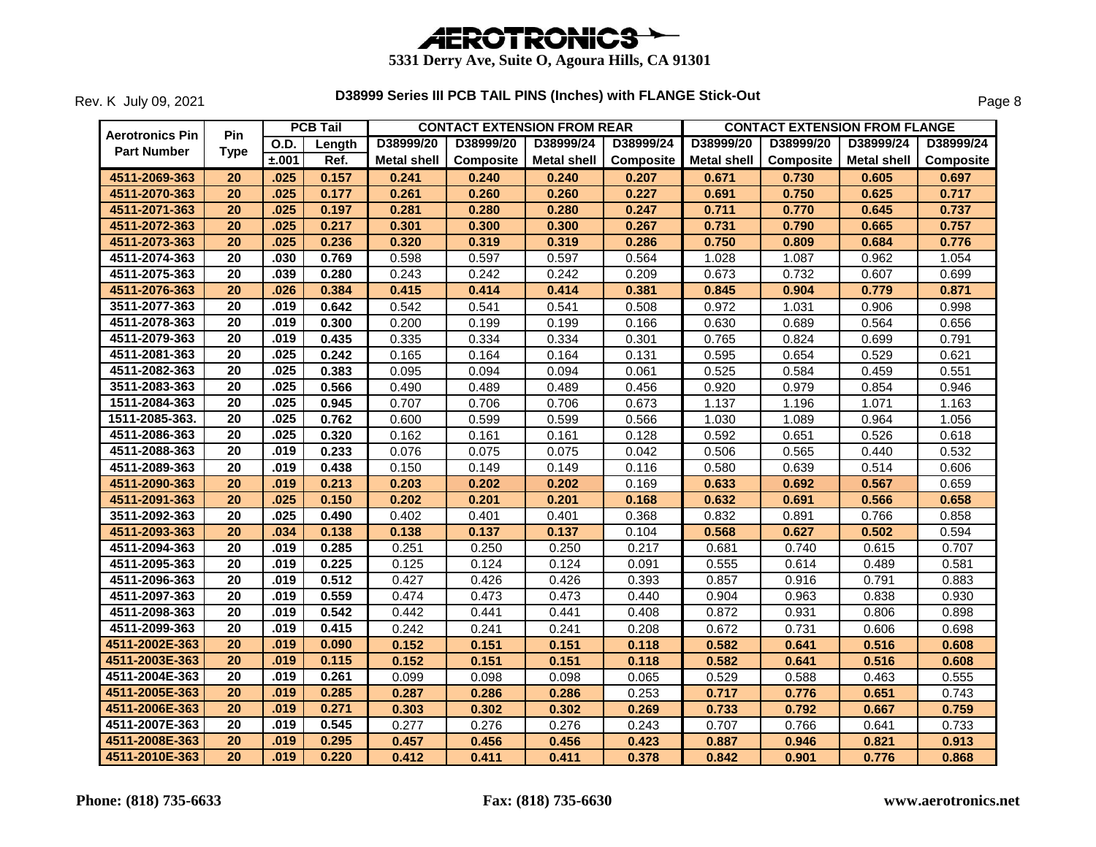

|                        |                 |       | <b>PCB Tail</b> | <b>CONTACT EXTENSION FROM REAR</b> |           |             |           | <b>CONTACT EXTENSION FROM FLANGE</b> |                  |             |           |  |
|------------------------|-----------------|-------|-----------------|------------------------------------|-----------|-------------|-----------|--------------------------------------|------------------|-------------|-----------|--|
| <b>Aerotronics Pin</b> | Pin             | O.D.  | Length          | D38999/20                          | D38999/20 | D38999/24   | D38999/24 | D38999/20                            | D38999/20        | D38999/24   | D38999/24 |  |
| <b>Part Number</b>     | <b>Type</b>     | ±.001 | Ref.            | <b>Metal shell</b>                 | Composite | Metal shell | Composite | <b>Metal shell</b>                   | <b>Composite</b> | Metal shell | Composite |  |
| 4511-2069-363          | 20              | .025  | 0.157           | 0.241                              | 0.240     | 0.240       | 0.207     | 0.671                                | 0.730            | 0.605       | 0.697     |  |
| 4511-2070-363          | 20              | .025  | 0.177           | 0.261                              | 0.260     | 0.260       | 0.227     | 0.691                                | 0.750            | 0.625       | 0.717     |  |
| 4511-2071-363          | 20              | .025  | 0.197           | 0.281                              | 0.280     | 0.280       | 0.247     | 0.711                                | 0.770            | 0.645       | 0.737     |  |
| 4511-2072-363          | 20              | .025  | 0.217           | 0.301                              | 0.300     | 0.300       | 0.267     | 0.731                                | 0.790            | 0.665       | 0.757     |  |
| 4511-2073-363          | 20              | .025  | 0.236           | 0.320                              | 0.319     | 0.319       | 0.286     | 0.750                                | 0.809            | 0.684       | 0.776     |  |
| 4511-2074-363          | 20              | .030  | 0.769           | 0.598                              | 0.597     | 0.597       | 0.564     | 1.028                                | 1.087            | 0.962       | 1.054     |  |
| 4511-2075-363          | $\overline{20}$ | .039  | 0.280           | 0.243                              | 0.242     | 0.242       | 0.209     | 0.673                                | 0.732            | 0.607       | 0.699     |  |
| 4511-2076-363          | 20              | .026  | 0.384           | 0.415                              | 0.414     | 0.414       | 0.381     | 0.845                                | 0.904            | 0.779       | 0.871     |  |
| 3511-2077-363          | 20              | .019  | 0.642           | 0.542                              | 0.541     | 0.541       | 0.508     | 0.972                                | 1.031            | 0.906       | 0.998     |  |
| 4511-2078-363          | 20              | .019  | 0.300           | 0.200                              | 0.199     | 0.199       | 0.166     | 0.630                                | 0.689            | 0.564       | 0.656     |  |
| 4511-2079-363          | $\overline{20}$ | .019  | 0.435           | 0.335                              | 0.334     | 0.334       | 0.301     | 0.765                                | 0.824            | 0.699       | 0.791     |  |
| 4511-2081-363          | 20              | .025  | 0.242           | 0.165                              | 0.164     | 0.164       | 0.131     | 0.595                                | 0.654            | 0.529       | 0.621     |  |
| 4511-2082-363          | 20              | .025  | 0.383           | 0.095                              | 0.094     | 0.094       | 0.061     | 0.525                                | 0.584            | 0.459       | 0.551     |  |
| 3511-2083-363          | $\overline{20}$ | .025  | 0.566           | 0.490                              | 0.489     | 0.489       | 0.456     | 0.920                                | 0.979            | 0.854       | 0.946     |  |
| 1511-2084-363          | $\overline{20}$ | .025  | 0.945           | 0.707                              | 0.706     | 0.706       | 0.673     | 1.137                                | 1.196            | 1.071       | 1.163     |  |
| 1511-2085-363.         | 20              | .025  | 0.762           | 0.600                              | 0.599     | 0.599       | 0.566     | 1.030                                | 1.089            | 0.964       | 1.056     |  |
| 4511-2086-363          | 20              | .025  | 0.320           | 0.162                              | 0.161     | 0.161       | 0.128     | 0.592                                | 0.651            | 0.526       | 0.618     |  |
| 4511-2088-363          | $\overline{20}$ | .019  | 0.233           | 0.076                              | 0.075     | 0.075       | 0.042     | 0.506                                | 0.565            | 0.440       | 0.532     |  |
| 4511-2089-363          | 20              | .019  | 0.438           | 0.150                              | 0.149     | 0.149       | 0.116     | 0.580                                | 0.639            | 0.514       | 0.606     |  |
| 4511-2090-363          | 20              | .019  | 0.213           | 0.203                              | 0.202     | 0.202       | 0.169     | 0.633                                | 0.692            | 0.567       | 0.659     |  |
| 4511-2091-363          | $\overline{20}$ | .025  | 0.150           | 0.202                              | 0.201     | 0.201       | 0.168     | 0.632                                | 0.691            | 0.566       | 0.658     |  |
| 3511-2092-363          | $\overline{20}$ | .025  | 0.490           | 0.402                              | 0.401     | 0.401       | 0.368     | 0.832                                | 0.891            | 0.766       | 0.858     |  |
| 4511-2093-363          | 20              | .034  | 0.138           | 0.138                              | 0.137     | 0.137       | 0.104     | 0.568                                | 0.627            | 0.502       | 0.594     |  |
| 4511-2094-363          | 20              | .019  | 0.285           | 0.251                              | 0.250     | 0.250       | 0.217     | 0.681                                | 0.740            | 0.615       | 0.707     |  |
| 4511-2095-363          | 20              | .019  | 0.225           | 0.125                              | 0.124     | 0.124       | 0.091     | 0.555                                | 0.614            | 0.489       | 0.581     |  |
| 4511-2096-363          | $\overline{20}$ | .019  | 0.512           | 0.427                              | 0.426     | 0.426       | 0.393     | 0.857                                | 0.916            | 0.791       | 0.883     |  |
| 4511-2097-363          | 20              | .019  | 0.559           | 0.474                              | 0.473     | 0.473       | 0.440     | 0.904                                | 0.963            | 0.838       | 0.930     |  |
| 4511-2098-363          | $\overline{20}$ | .019  | 0.542           | 0.442                              | 0.441     | 0.441       | 0.408     | 0.872                                | 0.931            | 0.806       | 0.898     |  |
| 4511-2099-363          | $\overline{20}$ | .019  | 0.415           | 0.242                              | 0.241     | 0.241       | 0.208     | 0.672                                | 0.731            | 0.606       | 0.698     |  |
| 4511-2002E-363         | 20              | .019  | 0.090           | 0.152                              | 0.151     | 0.151       | 0.118     | 0.582                                | 0.641            | 0.516       | 0.608     |  |
| 4511-2003E-363         | 20              | .019  | 0.115           | 0.152                              | 0.151     | 0.151       | 0.118     | 0.582                                | 0.641            | 0.516       | 0.608     |  |
| 4511-2004E-363         | 20              | .019  | 0.261           | 0.099                              | 0.098     | 0.098       | 0.065     | 0.529                                | 0.588            | 0.463       | 0.555     |  |
| 4511-2005E-363         | 20              | .019  | 0.285           | 0.287                              | 0.286     | 0.286       | 0.253     | 0.717                                | 0.776            | 0.651       | 0.743     |  |
| 4511-2006E-363         | 20              | .019  | 0.271           | 0.303                              | 0.302     | 0.302       | 0.269     | 0.733                                | 0.792            | 0.667       | 0.759     |  |
| 4511-2007E-363         | 20              | .019  | 0.545           | 0.277                              | 0.276     | 0.276       | 0.243     | 0.707                                | 0.766            | 0.641       | 0.733     |  |
| 4511-2008E-363         | $\overline{20}$ | .019  | 0.295           | 0.457                              | 0.456     | 0.456       | 0.423     | 0.887                                | 0.946            | 0.821       | 0.913     |  |
| 4511-2010E-363         | $\overline{20}$ | .019  | 0.220           | 0.412                              | 0.411     | 0.411       | 0.378     | 0.842                                | 0.901            | 0.776       | 0.868     |  |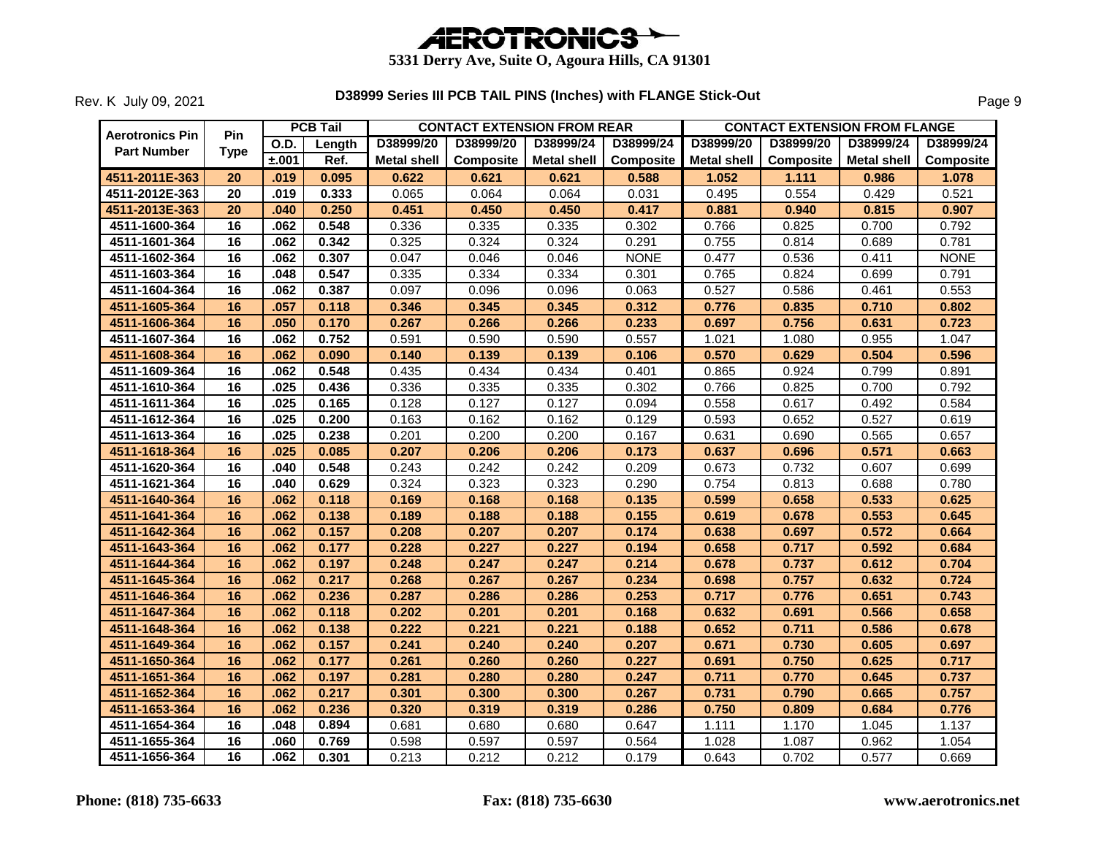

| <b>Aerotronics Pin</b> | <b>Pin</b>      |       | <b>PCB Tail</b> |                    | <b>CONTACT EXTENSION FROM REAR</b> |                    |             |                    | <b>CONTACT EXTENSION FROM FLANGE</b> |             |             |
|------------------------|-----------------|-------|-----------------|--------------------|------------------------------------|--------------------|-------------|--------------------|--------------------------------------|-------------|-------------|
| <b>Part Number</b>     | <b>Type</b>     | O.D.  | Length          | D38999/20          | D38999/20                          | D38999/24          | D38999/24   | D38999/20          | D38999/20                            | D38999/24   | D38999/24   |
|                        |                 | ±.001 | Ref.            | <b>Metal shell</b> | Composite                          | <b>Metal shell</b> | Composite   | <b>Metal shell</b> | <b>Composite</b>                     | Metal shell | Composite   |
| 4511-2011E-363         | 20              | .019  | 0.095           | 0.622              | 0.621                              | 0.621              | 0.588       | 1.052              | 1.111                                | 0.986       | 1.078       |
| 4511-2012E-363         | $\overline{20}$ | .019  | 0.333           | 0.065              | 0.064                              | 0.064              | 0.031       | 0.495              | 0.554                                | 0.429       | 0.521       |
| 4511-2013E-363         | 20              | .040  | 0.250           | 0.451              | 0.450                              | 0.450              | 0.417       | 0.881              | 0.940                                | 0.815       | 0.907       |
| 4511-1600-364          | 16              | .062  | 0.548           | 0.336              | 0.335                              | 0.335              | 0.302       | 0.766              | 0.825                                | 0.700       | 0.792       |
| 4511-1601-364          | 16              | .062  | 0.342           | 0.325              | 0.324                              | 0.324              | 0.291       | 0.755              | 0.814                                | 0.689       | 0.781       |
| 4511-1602-364          | 16              | .062  | 0.307           | 0.047              | 0.046                              | 0.046              | <b>NONE</b> | 0.477              | 0.536                                | 0.411       | <b>NONE</b> |
| 4511-1603-364          | 16              | .048  | 0.547           | 0.335              | 0.334                              | 0.334              | 0.301       | 0.765              | 0.824                                | 0.699       | 0.791       |
| 4511-1604-364          | 16              | .062  | 0.387           | 0.097              | 0.096                              | 0.096              | 0.063       | 0.527              | 0.586                                | 0.461       | 0.553       |
| 4511-1605-364          | 16              | .057  | 0.118           | 0.346              | 0.345                              | 0.345              | 0.312       | 0.776              | 0.835                                | 0.710       | 0.802       |
| 4511-1606-364          | 16              | .050  | 0.170           | 0.267              | 0.266                              | 0.266              | 0.233       | 0.697              | 0.756                                | 0.631       | 0.723       |
| 4511-1607-364          | 16              | .062  | 0.752           | 0.591              | 0.590                              | 0.590              | 0.557       | 1.021              | 1.080                                | 0.955       | 1.047       |
| 4511-1608-364          | 16              | .062  | 0.090           | 0.140              | 0.139                              | 0.139              | 0.106       | 0.570              | 0.629                                | 0.504       | 0.596       |
| 4511-1609-364          | 16              | .062  | 0.548           | 0.435              | 0.434                              | 0.434              | 0.401       | 0.865              | 0.924                                | 0.799       | 0.891       |
| 4511-1610-364          | $\overline{16}$ | .025  | 0.436           | 0.336              | 0.335                              | 0.335              | 0.302       | 0.766              | 0.825                                | 0.700       | 0.792       |
| 4511-1611-364          | $\overline{16}$ | .025  | 0.165           | 0.128              | 0.127                              | 0.127              | 0.094       | 0.558              | 0.617                                | 0.492       | 0.584       |
| 4511-1612-364          | 16              | .025  | 0.200           | 0.163              | 0.162                              | 0.162              | 0.129       | 0.593              | 0.652                                | 0.527       | 0.619       |
| 4511-1613-364          | $\overline{16}$ | .025  | 0.238           | 0.201              | 0.200                              | 0.200              | 0.167       | 0.631              | 0.690                                | 0.565       | 0.657       |
| 4511-1618-364          | 16              | .025  | 0.085           | 0.207              | 0.206                              | 0.206              | 0.173       | 0.637              | 0.696                                | 0.571       | 0.663       |
| 4511-1620-364          | 16              | .040  | 0.548           | 0.243              | 0.242                              | 0.242              | 0.209       | 0.673              | 0.732                                | 0.607       | 0.699       |
| 4511-1621-364          | $\overline{16}$ | .040  | 0.629           | 0.324              | 0.323                              | 0.323              | 0.290       | 0.754              | 0.813                                | 0.688       | 0.780       |
| 4511-1640-364          | 16              | .062  | 0.118           | 0.169              | 0.168                              | 0.168              | 0.135       | 0.599              | 0.658                                | 0.533       | 0.625       |
| 4511-1641-364          | 16              | .062  | 0.138           | 0.189              | 0.188                              | 0.188              | 0.155       | 0.619              | 0.678                                | 0.553       | 0.645       |
| 4511-1642-364          | 16              | .062  | 0.157           | 0.208              | 0.207                              | 0.207              | 0.174       | 0.638              | 0.697                                | 0.572       | 0.664       |
| 4511-1643-364          | 16              | .062  | 0.177           | 0.228              | 0.227                              | 0.227              | 0.194       | 0.658              | 0.717                                | 0.592       | 0.684       |
| 4511-1644-364          | 16              | .062  | 0.197           | 0.248              | 0.247                              | 0.247              | 0.214       | 0.678              | 0.737                                | 0.612       | 0.704       |
| 4511-1645-364          | 16              | .062  | 0.217           | 0.268              | 0.267                              | 0.267              | 0.234       | 0.698              | 0.757                                | 0.632       | 0.724       |
| 4511-1646-364          | 16              | .062  | 0.236           | 0.287              | 0.286                              | 0.286              | 0.253       | 0.717              | 0.776                                | 0.651       | 0.743       |
| 4511-1647-364          | 16              | .062  | 0.118           | 0.202              | 0.201                              | 0.201              | 0.168       | 0.632              | 0.691                                | 0.566       | 0.658       |
| 4511-1648-364          | 16              | .062  | 0.138           | 0.222              | 0.221                              | 0.221              | 0.188       | 0.652              | 0.711                                | 0.586       | 0.678       |
| 4511-1649-364          | 16              | .062  | 0.157           | 0.241              | 0.240                              | 0.240              | 0.207       | 0.671              | 0.730                                | 0.605       | 0.697       |
| 4511-1650-364          | 16              | .062  | 0.177           | 0.261              | 0.260                              | 0.260              | 0.227       | 0.691              | 0.750                                | 0.625       | 0.717       |
| 4511-1651-364          | 16              | .062  | 0.197           | 0.281              | 0.280                              | 0.280              | 0.247       | 0.711              | 0.770                                | 0.645       | 0.737       |
| 4511-1652-364          | 16              | .062  | 0.217           | 0.301              | 0.300                              | 0.300              | 0.267       | 0.731              | 0.790                                | 0.665       | 0.757       |
| 4511-1653-364          | 16              | .062  | 0.236           | 0.320              | 0.319                              | 0.319              | 0.286       | 0.750              | 0.809                                | 0.684       | 0.776       |
| 4511-1654-364          | 16              | .048  | 0.894           | 0.681              | 0.680                              | 0.680              | 0.647       | 1.111              | 1.170                                | 1.045       | 1.137       |
| 4511-1655-364          | $\overline{16}$ | .060  | 0.769           | 0.598              | 0.597                              | 0.597              | 0.564       | 1.028              | 1.087                                | 0.962       | 1.054       |
| 4511-1656-364          | 16              | .062  | 0.301           | 0.213              | 0.212                              | 0.212              | 0.179       | 0.643              | 0.702                                | 0.577       | 0.669       |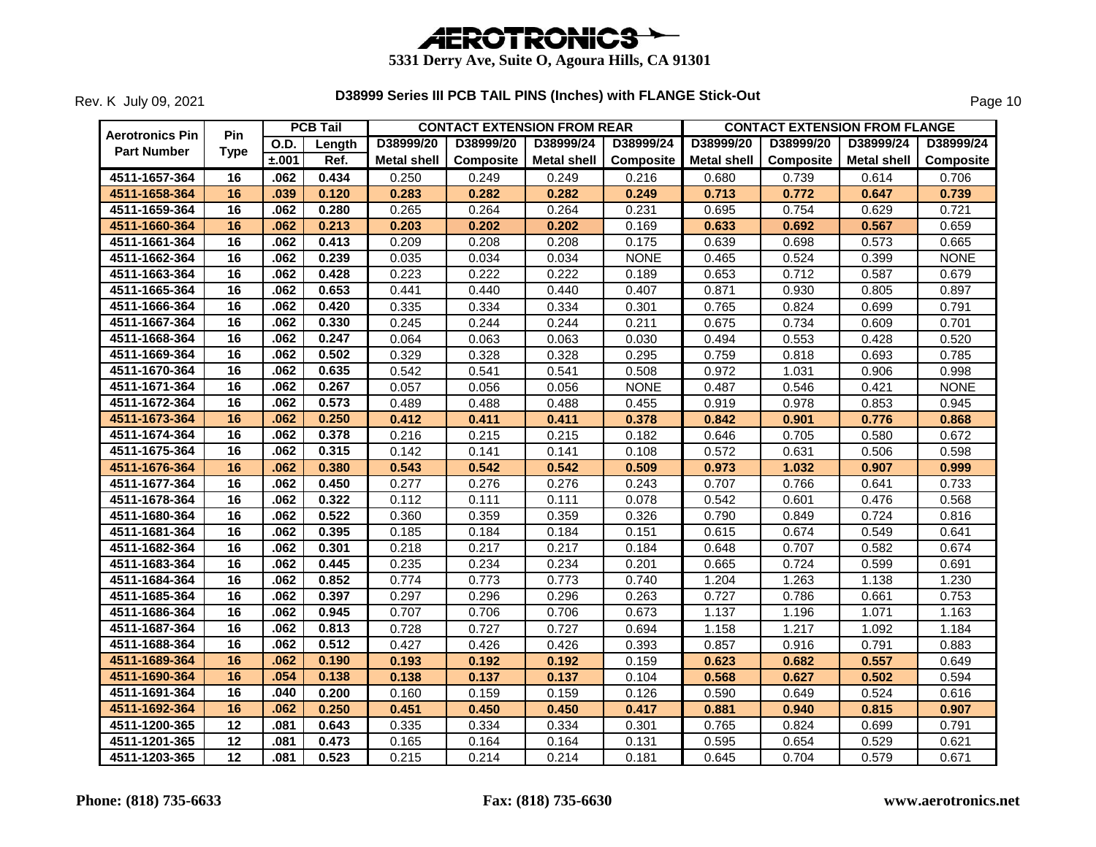

|                                       | Pin             |             | <b>PCB Tail</b> |                    | <b>CONTACT EXTENSION FROM REAR</b> |                    |             |                    | <b>CONTACT EXTENSION FROM FLANGE</b> |                    |                  |
|---------------------------------------|-----------------|-------------|-----------------|--------------------|------------------------------------|--------------------|-------------|--------------------|--------------------------------------|--------------------|------------------|
| Aerotronics Pin<br><b>Part Number</b> | <b>Type</b>     | <b>O.D.</b> | Length          | D38999/20          | D38999/20                          | D38999/24          | D38999/24   | D38999/20          | D38999/20                            | D38999/24          | D38999/24        |
|                                       |                 | ±.001       | Ref.            | <b>Metal shell</b> | <b>Composite</b>                   | <b>Metal shell</b> | Composite   | <b>Metal shell</b> | Composite                            | <b>Metal shell</b> | <b>Composite</b> |
| 4511-1657-364                         | 16              | .062        | 0.434           | 0.250              | 0.249                              | 0.249              | 0.216       | 0.680              | 0.739                                | 0.614              | 0.706            |
| 4511-1658-364                         | 16              | .039        | 0.120           | 0.283              | 0.282                              | 0.282              | 0.249       | 0.713              | 0.772                                | 0.647              | 0.739            |
| 4511-1659-364                         | 16              | .062        | 0.280           | 0.265              | 0.264                              | 0.264              | 0.231       | 0.695              | 0.754                                | 0.629              | 0.721            |
| 4511-1660-364                         | 16              | .062        | 0.213           | 0.203              | 0.202                              | 0.202              | 0.169       | 0.633              | 0.692                                | 0.567              | 0.659            |
| 4511-1661-364                         | 16              | .062        | 0.413           | 0.209              | 0.208                              | 0.208              | 0.175       | 0.639              | 0.698                                | 0.573              | 0.665            |
| 4511-1662-364                         | 16              | .062        | 0.239           | 0.035              | 0.034                              | 0.034              | <b>NONE</b> | 0.465              | 0.524                                | 0.399              | <b>NONE</b>      |
| 4511-1663-364                         | $\overline{16}$ | .062        | 0.428           | 0.223              | 0.222                              | 0.222              | 0.189       | 0.653              | 0.712                                | 0.587              | 0.679            |
| 4511-1665-364                         | 16              | .062        | 0.653           | 0.441              | 0.440                              | 0.440              | 0.407       | 0.871              | 0.930                                | 0.805              | 0.897            |
| 4511-1666-364                         | 16              | .062        | 0.420           | 0.335              | 0.334                              | 0.334              | 0.301       | 0.765              | 0.824                                | 0.699              | 0.791            |
| 4511-1667-364                         | $\overline{16}$ | .062        | 0.330           | 0.245              | 0.244                              | 0.244              | 0.211       | 0.675              | 0.734                                | 0.609              | 0.701            |
| 4511-1668-364                         | 16              | .062        | 0.247           | 0.064              | 0.063                              | 0.063              | 0.030       | 0.494              | 0.553                                | 0.428              | 0.520            |
| 4511-1669-364                         | 16              | .062        | 0.502           | 0.329              | 0.328                              | 0.328              | 0.295       | 0.759              | 0.818                                | 0.693              | 0.785            |
| 4511-1670-364                         | $\overline{16}$ | .062        | 0.635           | 0.542              | 0.541                              | 0.541              | 0.508       | 0.972              | 1.031                                | 0.906              | 0.998            |
| 4511-1671-364                         | 16              | .062        | 0.267           | 0.057              | 0.056                              | 0.056              | <b>NONE</b> | 0.487              | 0.546                                | 0.421              | <b>NONE</b>      |
| 4511-1672-364                         | 16              | .062        | 0.573           | 0.489              | 0.488                              | 0.488              | 0.455       | 0.919              | 0.978                                | 0.853              | 0.945            |
| 4511-1673-364                         | 16              | .062        | 0.250           | 0.412              | 0.411                              | 0.411              | 0.378       | 0.842              | 0.901                                | 0.776              | 0.868            |
| 4511-1674-364                         | 16              | .062        | 0.378           | 0.216              | 0.215                              | 0.215              | 0.182       | 0.646              | 0.705                                | 0.580              | 0.672            |
| 4511-1675-364                         | $\overline{16}$ | .062        | 0.315           | 0.142              | 0.141                              | 0.141              | 0.108       | 0.572              | 0.631                                | 0.506              | 0.598            |
| 4511-1676-364                         | 16              | .062        | 0.380           | 0.543              | 0.542                              | 0.542              | 0.509       | 0.973              | 1.032                                | 0.907              | 0.999            |
| 4511-1677-364                         | 16              | .062        | 0.450           | 0.277              | 0.276                              | 0.276              | 0.243       | 0.707              | 0.766                                | 0.641              | 0.733            |
| 4511-1678-364                         | $\overline{16}$ | .062        | 0.322           | 0.112              | 0.111                              | 0.111              | 0.078       | 0.542              | 0.601                                | 0.476              | 0.568            |
| 4511-1680-364                         | 16              | .062        | 0.522           | 0.360              | 0.359                              | 0.359              | 0.326       | 0.790              | 0.849                                | 0.724              | 0.816            |
| 4511-1681-364                         | $\overline{16}$ | .062        | 0.395           | 0.185              | 0.184                              | 0.184              | 0.151       | 0.615              | 0.674                                | 0.549              | 0.641            |
| 4511-1682-364                         | $\overline{16}$ | .062        | 0.301           | 0.218              | 0.217                              | 0.217              | 0.184       | 0.648              | 0.707                                | 0.582              | 0.674            |
| 4511-1683-364                         | 16              | .062        | 0.445           | 0.235              | 0.234                              | 0.234              | 0.201       | 0.665              | 0.724                                | 0.599              | 0.691            |
| 4511-1684-364                         | 16              | .062        | 0.852           | 0.774              | 0.773                              | 0.773              | 0.740       | 1.204              | 1.263                                | 1.138              | 1.230            |
| 4511-1685-364                         | 16              | .062        | 0.397           | 0.297              | 0.296                              | 0.296              | 0.263       | 0.727              | 0.786                                | 0.661              | 0.753            |
| 4511-1686-364                         | $\overline{16}$ | .062        | 0.945           | 0.707              | 0.706                              | 0.706              | 0.673       | 1.137              | 1.196                                | 1.071              | 1.163            |
| 4511-1687-364                         | 16              | .062        | 0.813           | 0.728              | 0.727                              | 0.727              | 0.694       | 1.158              | 1.217                                | 1.092              | 1.184            |
| 4511-1688-364                         | 16              | .062        | 0.512           | 0.427              | 0.426                              | 0.426              | 0.393       | 0.857              | 0.916                                | 0.791              | 0.883            |
| 4511-1689-364                         | 16              | .062        | 0.190           | 0.193              | 0.192                              | 0.192              | 0.159       | 0.623              | 0.682                                | 0.557              | 0.649            |
| 4511-1690-364                         | 16              | .054        | 0.138           | 0.138              | 0.137                              | 0.137              | 0.104       | 0.568              | 0.627                                | 0.502              | 0.594            |
| 4511-1691-364                         | 16              | .040        | 0.200           | 0.160              | 0.159                              | 0.159              | 0.126       | 0.590              | 0.649                                | 0.524              | 0.616            |
| 4511-1692-364                         | 16              | .062        | 0.250           | 0.451              | 0.450                              | 0.450              | 0.417       | 0.881              | 0.940                                | 0.815              | 0.907            |
| 4511-1200-365                         | 12              | .081        | 0.643           | 0.335              | 0.334                              | 0.334              | 0.301       | 0.765              | 0.824                                | 0.699              | 0.791            |
| 4511-1201-365                         | $\overline{12}$ | .081        | 0.473           | 0.165              | 0.164                              | 0.164              | 0.131       | 0.595              | 0.654                                | 0.529              | 0.621            |
| 4511-1203-365                         | $\overline{12}$ | .081        | 0.523           | 0.215              | 0.214                              | 0.214              | 0.181       | 0.645              | 0.704                                | 0.579              | 0.671            |